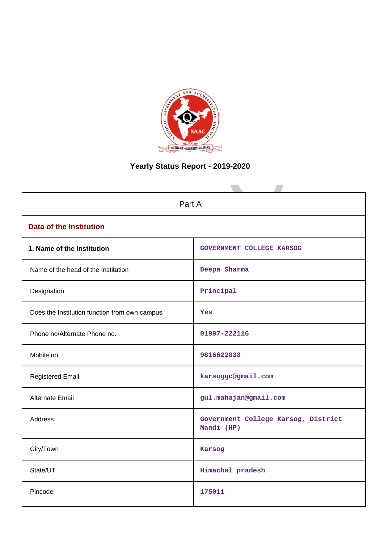

# **Yearly Status Report - 2019-2020**

| Part A                                        |                                                   |  |  |
|-----------------------------------------------|---------------------------------------------------|--|--|
| <b>Data of the Institution</b>                |                                                   |  |  |
| 1. Name of the Institution                    | GOVERNMENT COLLEGE KARSOG                         |  |  |
| Name of the head of the Institution           | Deepa Sharma                                      |  |  |
| Designation                                   | Principal                                         |  |  |
| Does the Institution function from own campus | Yes                                               |  |  |
| Phone no/Alternate Phone no.                  | 01907-222116                                      |  |  |
| Mobile no.                                    | 9816622838                                        |  |  |
| <b>Registered Email</b>                       | karsoggc@gmail.com                                |  |  |
| <b>Alternate Email</b>                        | gul.mahajan@gmail.com                             |  |  |
| Address                                       | Government College Karsog, District<br>Mandi (HP) |  |  |
| City/Town                                     | Karsog                                            |  |  |
| State/UT                                      | Himachal pradesh                                  |  |  |
| Pincode                                       | 175011                                            |  |  |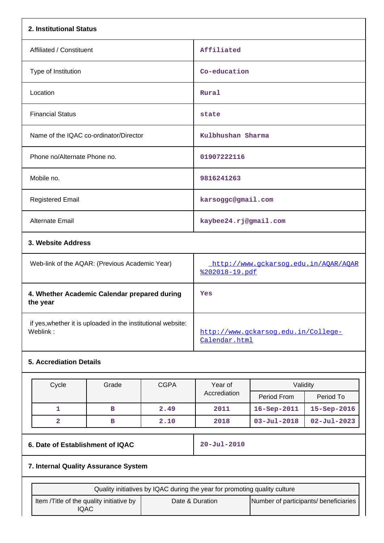| 2. Institutional Status                                  |                                                        |  |  |  |
|----------------------------------------------------------|--------------------------------------------------------|--|--|--|
| Affiliated / Constituent                                 | Affiliated                                             |  |  |  |
| Type of Institution                                      | Co-education                                           |  |  |  |
| Location                                                 | Rural                                                  |  |  |  |
| <b>Financial Status</b>                                  | state                                                  |  |  |  |
| Name of the IQAC co-ordinator/Director                   | Kulbhushan Sharma                                      |  |  |  |
| Phone no/Alternate Phone no.                             | 01907222116                                            |  |  |  |
| Mobile no.                                               | 9816241263                                             |  |  |  |
| <b>Registered Email</b>                                  | karsoggc@gmail.com                                     |  |  |  |
| Alternate Email                                          | kaybee24.rj@gmail.com                                  |  |  |  |
| 3. Website Address                                       |                                                        |  |  |  |
| Web-link of the AQAR: (Previous Academic Year)           | http://www.gckarsog.edu.in/AQAR/AQAR<br>%202018-19.pdf |  |  |  |
| 4. Whether Academic Calendar prepared during<br>the year | Yes                                                    |  |  |  |

 if yes,whether it is uploaded in the institutional website: [http://www.gckarsog.edu.in/College-](http://www.gckarsog.edu.in/College-Calendar.html)

## **5. Accrediation Details**

| Cycle | Grade | <b>CGPA</b> | Year of      | Validity          |                   |
|-------|-------|-------------|--------------|-------------------|-------------------|
|       |       |             | Accrediation | Period From       | Period To         |
|       | в     | 2.49        | 2011         | $16 - Sep-2011$   | $15 - Sep - 2016$ |
| 2     | в     | 2.10        | 2018         | $03 - Jul - 2018$ | $02 - Ju1 - 2023$ |

## **6. Date of Establishment of IQAC** 20-Jul-2010

[Calendar.html](http://www.gckarsog.edu.in/College-Calendar.html)

## **7. Internal Quality Assurance System**

| Quality initiatives by IQAC during the year for promoting quality culture |                 |                                       |  |
|---------------------------------------------------------------------------|-----------------|---------------------------------------|--|
| Item / Title of the quality initiative by<br>IQAC                         | Date & Duration | Number of participants/ beneficiaries |  |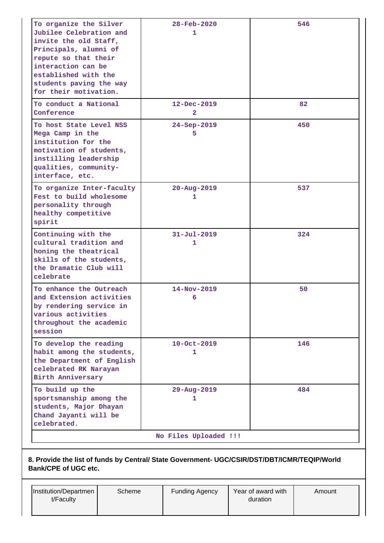|                                                                                                                                                                                                     | No Files Uploaded !!!             |     |
|-----------------------------------------------------------------------------------------------------------------------------------------------------------------------------------------------------|-----------------------------------|-----|
| To build up the<br>sportsmanship among the<br>students, Major Dhayan<br>Chand Jayanti will be<br>celebrated.                                                                                        | 29-Aug-2019<br>1                  | 484 |
| To develop the reading<br>habit among the students,<br>the Department of English<br>celebrated RK Narayan<br>Birth Anniversary                                                                      | $10 - Oct - 2019$<br>1            | 146 |
| To enhance the Outreach<br>and Extension activities<br>by rendering service in<br>various activities<br>throughout the academic<br>session                                                          | $14 - Nov - 2019$<br>6            | 50  |
| Continuing with the<br>cultural tradition and<br>honing the theatrical<br>skills of the students,<br>the Dramatic Club will<br>celebrate                                                            | $31 - Ju1 - 2019$<br>1            | 324 |
| To organize Inter-faculty<br>Fest to build wholesome<br>personality through<br>healthy competitive<br>spirit                                                                                        | $20 - Aug - 2019$<br>1            | 537 |
| To host State Level NSS<br>Mega Camp in the<br>institution for the<br>motivation of students,<br>instilling leadership<br>qualities, community-<br>interface, etc.                                  | 24-Sep-2019<br>5                  | 450 |
| To conduct a National<br>Conference                                                                                                                                                                 | $12 - Dec - 2019$<br>$\mathbf{2}$ | 82  |
| Jubilee Celebration and<br>invite the old Staff,<br>Principals, alumni of<br>repute so that their<br>interaction can be<br>established with the<br>students paving the way<br>for their motivation. | 1                                 |     |
| To organize the Silver                                                                                                                                                                              | 28-Feb-2020                       | 546 |

**Bank/CPE of UGC etc.**

| Institution/Departmen<br>t/Faculty | Scheme | <b>Funding Agency</b> | Year of award with<br>duration | Amount |
|------------------------------------|--------|-----------------------|--------------------------------|--------|
|------------------------------------|--------|-----------------------|--------------------------------|--------|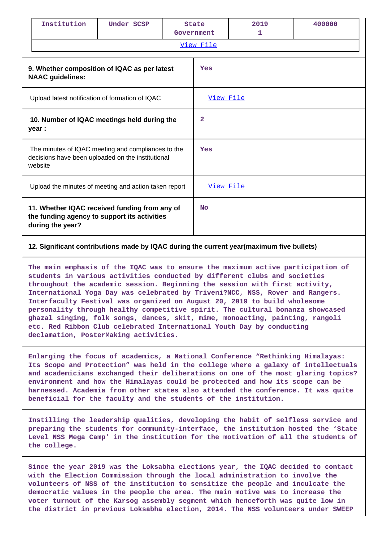|                                                                                                                    | Institution                                                                                                       | Under SCSP |              | <b>State</b><br>Government | 2019<br>1 | 400000 |
|--------------------------------------------------------------------------------------------------------------------|-------------------------------------------------------------------------------------------------------------------|------------|--------------|----------------------------|-----------|--------|
|                                                                                                                    |                                                                                                                   |            |              | View File                  |           |        |
| 9. Whether composition of IQAC as per latest<br><b>NAAC</b> guidelines:                                            |                                                                                                                   |            | Yes          |                            |           |        |
| Upload latest notification of formation of IQAC                                                                    |                                                                                                                   |            | View File    |                            |           |        |
| 10. Number of IQAC meetings held during the<br>year :                                                              |                                                                                                                   |            | $\mathbf{z}$ |                            |           |        |
| The minutes of IQAC meeting and compliances to the<br>decisions have been uploaded on the institutional<br>website |                                                                                                                   |            |              | Yes                        |           |        |
| Upload the minutes of meeting and action taken report                                                              |                                                                                                                   |            | View File    |                            |           |        |
|                                                                                                                    | 11. Whether IQAC received funding from any of<br>the funding agency to support its activities<br>during the year? |            |              | <b>No</b>                  |           |        |

#### **12. Significant contributions made by IQAC during the current year(maximum five bullets)**

**The main emphasis of the IQAC was to ensure the maximum active participation of students in various activities conducted by different clubs and societies throughout the academic session. Beginning the session with first activity, International Yoga Day was celebrated by Triveni?NCC, NSS, Rover and Rangers. Interfaculty Festival was organized on August 20, 2019 to build wholesome personality through healthy competitive spirit. The cultural bonanza showcased ghazal singing, folk songs, dances, skit, mime, monoacting, painting, rangoli etc. Red Ribbon Club celebrated International Youth Day by conducting declamation, PosterMaking activities.**

**Enlarging the focus of academics, a National Conference "Rethinking Himalayas: Its Scope and Protection" was held in the college where a galaxy of intellectuals and academicians exchanged their deliberations on one of the most glaring topics? environment and how the Himalayas could be protected and how its scope can be harnessed. Academia from other states also attended the conference. It was quite beneficial for the faculty and the students of the institution.**

**Instilling the leadership qualities, developing the habit of selfless service and preparing the students for community-interface, the institution hosted the 'State Level NSS Mega Camp' in the institution for the motivation of all the students of the college.**

**Since the year 2019 was the Loksabha elections year, the IQAC decided to contact with the Election Commission through the local administration to involve the volunteers of NSS of the institution to sensitize the people and inculcate the democratic values in the people the area. The main motive was to increase the voter turnout of the Karsog assembly segment which henceforth was quite low in the district in previous Loksabha election, 2014. The NSS volunteers under SWEEP**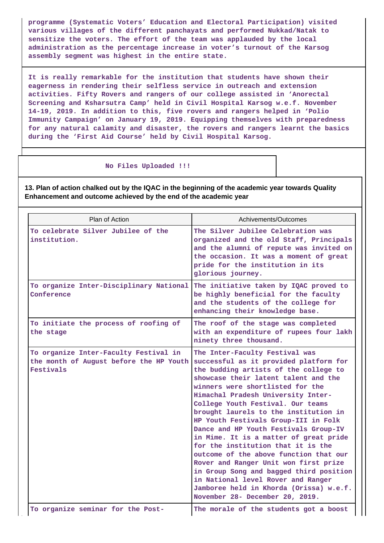**programme (Systematic Voters' Education and Electoral Participation) visited various villages of the different panchayats and performed Nukkad/Natak to sensitize the voters. The effort of the team was applauded by the local administration as the percentage increase in voter's turnout of the Karsog assembly segment was highest in the entire state.**

**It is really remarkable for the institution that students have shown their eagerness in rendering their selfless service in outreach and extension activities. Fifty Rovers and rangers of our college assisted in 'Anorectal Screening and Ksharsutra Camp' held in Civil Hospital Karsog w.e.f. November 14-19, 2019. In addition to this, five rovers and rangers helped in 'Polio Immunity Campaign' on January 19, 2019. Equipping themselves with preparedness for any natural calamity and disaster, the rovers and rangers learnt the basics during the 'First Aid Course' held by Civil Hospital Karsog.**

#### **No Files Uploaded !!!**

**13. Plan of action chalked out by the IQAC in the beginning of the academic year towards Quality Enhancement and outcome achieved by the end of the academic year**

| Plan of Action                                                                                | Achivements/Outcomes                                                                                                                                                                                                                                                                                                                                                                                                                                                                                                                                                                                                                                                                                                                 |
|-----------------------------------------------------------------------------------------------|--------------------------------------------------------------------------------------------------------------------------------------------------------------------------------------------------------------------------------------------------------------------------------------------------------------------------------------------------------------------------------------------------------------------------------------------------------------------------------------------------------------------------------------------------------------------------------------------------------------------------------------------------------------------------------------------------------------------------------------|
| To celebrate Silver Jubilee of the<br>institution.                                            | The Silver Jubilee Celebration was<br>organized and the old Staff, Principals<br>and the alumni of repute was invited on<br>the occasion. It was a moment of great<br>pride for the institution in its<br>glorious journey.                                                                                                                                                                                                                                                                                                                                                                                                                                                                                                          |
| To organize Inter-Disciplinary National<br>Conference                                         | The initiative taken by IQAC proved to<br>be highly beneficial for the faculty<br>and the students of the college for<br>enhancing their knowledge base.                                                                                                                                                                                                                                                                                                                                                                                                                                                                                                                                                                             |
| To initiate the process of roofing of<br>the stage                                            | The roof of the stage was completed<br>with an expenditure of rupees four lakh<br>ninety three thousand.                                                                                                                                                                                                                                                                                                                                                                                                                                                                                                                                                                                                                             |
| To organize Inter-Faculty Festival in<br>the month of August before the HP Youth<br>Festivals | The Inter-Faculty Festival was<br>successful as it provided platform for<br>the budding artists of the college to<br>showcase their latent talent and the<br>winners were shortlisted for the<br>Himachal Pradesh University Inter-<br>College Youth Festival. Our teams<br>brought laurels to the institution in<br>HP Youth Festivals Group-III in Folk<br>Dance and HP Youth Festivals Group-IV<br>in Mime. It is a matter of great pride<br>for the institution that it is the<br>outcome of the above function that our<br>Rover and Ranger Unit won first prize<br>in Group Song and bagged third position<br>in National level Rover and Ranger<br>Jamboree held in Khorda (Orissa) w.e.f.<br>November 28- December 20, 2019. |
| To organize seminar for the Post-                                                             | The morale of the students got a boost                                                                                                                                                                                                                                                                                                                                                                                                                                                                                                                                                                                                                                                                                               |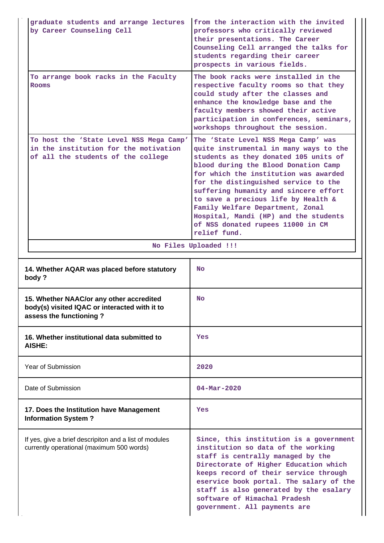| graduate students and arrange lectures<br>by Career Counseling Cell                                                    | from the interaction with the invited<br>professors who critically reviewed<br>their presentations. The Career<br>Counseling Cell arranged the talks for<br>students regarding their career<br>prospects in various fields.                                                                                                                                                                                                                                       |  |
|------------------------------------------------------------------------------------------------------------------------|-------------------------------------------------------------------------------------------------------------------------------------------------------------------------------------------------------------------------------------------------------------------------------------------------------------------------------------------------------------------------------------------------------------------------------------------------------------------|--|
| To arrange book racks in the Faculty<br>Rooms                                                                          | The book racks were installed in the<br>respective faculty rooms so that they<br>could study after the classes and<br>enhance the knowledge base and the<br>faculty members showed their active<br>participation in conferences, seminars,<br>workshops throughout the session.                                                                                                                                                                                   |  |
| To host the 'State Level NSS Mega Camp'<br>in the institution for the motivation<br>of all the students of the college | The 'State Level NSS Mega Camp' was<br>quite instrumental in many ways to the<br>students as they donated 105 units of<br>blood during the Blood Donation Camp<br>for which the institution was awarded<br>for the distinguished service to the<br>suffering humanity and sincere effort<br>to save a precious life by Health &<br>Family Welfare Department, Zonal<br>Hospital, Mandi (HP) and the students<br>of NSS donated rupees 11000 in CM<br>relief fund. |  |
|                                                                                                                        | No Files Uploaded !!!                                                                                                                                                                                                                                                                                                                                                                                                                                             |  |
| 14. Whether AQAR was placed before statutory<br>body?                                                                  | <b>No</b>                                                                                                                                                                                                                                                                                                                                                                                                                                                         |  |
| 15. Whether NAAC/or any other accredited<br>body(s) visited IQAC or interacted with it to<br>assess the functioning?   | <b>No</b>                                                                                                                                                                                                                                                                                                                                                                                                                                                         |  |
| 16. Whether institutional data submitted to<br>AISHE:                                                                  | Yes                                                                                                                                                                                                                                                                                                                                                                                                                                                               |  |
| Year of Submission                                                                                                     | 2020                                                                                                                                                                                                                                                                                                                                                                                                                                                              |  |
| Date of Submission                                                                                                     | $04 - \text{Mar} - 2020$                                                                                                                                                                                                                                                                                                                                                                                                                                          |  |
| 17. Does the Institution have Management<br><b>Information System?</b>                                                 | Yes                                                                                                                                                                                                                                                                                                                                                                                                                                                               |  |
| If yes, give a brief descripiton and a list of modules<br>currently operational (maximum 500 words)                    | Since, this institution is a government<br>institution so data of the working<br>staff is centrally managed by the<br>Directorate of Higher Education which<br>keeps record of their service through<br>eservice book portal. The salary of the<br>staff is also generated by the esalary<br>software of Himachal Pradesh<br>government. All payments are                                                                                                         |  |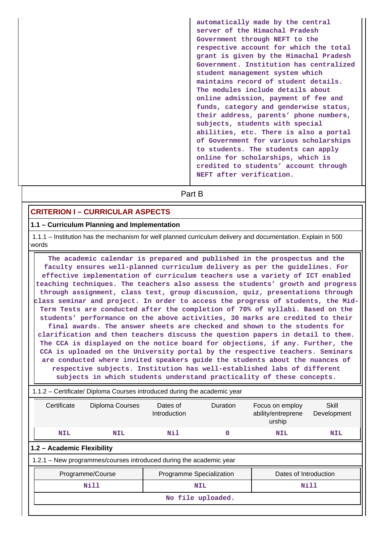**automatically made by the central server of the Himachal Pradesh Government through NEFT to the respective account for which the total grant is given by the Himachal Pradesh Government. Institution has centralized student management system which maintains record of student details. The modules include details about online admission, payment of fee and funds, category and genderwise status, their address, parents' phone numbers, subjects, students with special abilities, etc. There is also a portal of Government for various scholarships to students. The students can apply online for scholarships, which is credited to students' account through NEFT after verification.**

**Part B** 

## **CRITERION I – CURRICULAR ASPECTS**

## **1.1 – Curriculum Planning and Implementation**

 1.1.1 – Institution has the mechanism for well planned curriculum delivery and documentation. Explain in 500 words

 **The academic calendar is prepared and published in the prospectus and the faculty ensures well-planned curriculum delivery as per the guidelines. For effective implementation of curriculum teachers use a variety of ICT enabled teaching techniques. The teachers also assess the students' growth and progress through assignment, class test, group discussion, quiz, presentations through class seminar and project. In order to access the progress of students, the Mid-Term Tests are conducted after the completion of 70% of syllabi. Based on the students' performance on the above activities, 30 marks are credited to their final awards. The answer sheets are checked and shown to the students for clarification and then teachers discuss the question papers in detail to them. The CCA is displayed on the notice board for objections, if any. Further, the CCA is uploaded on the University portal by the respective teachers. Seminars are conducted where invited speakers guide the students about the nuances of respective subjects. Institution has well-established labs of different subjects in which students understand practicality of these concepts.**

```
 1.1.2 – Certificate/ Diploma Courses introduced during the academic year
```

| Certificate                                                           | Diploma Courses                                                    | Dates of<br>Introduction | Duration | Focus on employ<br>ability/entreprene<br>urship | Skill<br>Development |  |
|-----------------------------------------------------------------------|--------------------------------------------------------------------|--------------------------|----------|-------------------------------------------------|----------------------|--|
| <b>NIL</b>                                                            | <b>NIL</b>                                                         | Nil                      | 0        | <b>NIL</b>                                      | <b>NIL</b>           |  |
| 1.2 - Academic Flexibility                                            |                                                                    |                          |          |                                                 |                      |  |
|                                                                       | 1.2.1 - New programmes/courses introduced during the academic year |                          |          |                                                 |                      |  |
| Programme/Course<br>Programme Specialization<br>Dates of Introduction |                                                                    |                          |          |                                                 |                      |  |
| Nill<br>Nill<br><b>NIL</b>                                            |                                                                    |                          |          |                                                 |                      |  |
| No file uploaded.                                                     |                                                                    |                          |          |                                                 |                      |  |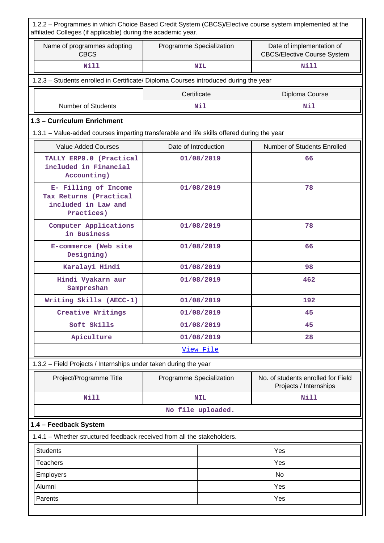| 1.2.2 - Programmes in which Choice Based Credit System (CBCS)/Elective course system implemented at the<br>affiliated Colleges (if applicable) during the academic year. |                          |                   |                                                                 |  |  |
|--------------------------------------------------------------------------------------------------------------------------------------------------------------------------|--------------------------|-------------------|-----------------------------------------------------------------|--|--|
| Name of programmes adopting<br><b>CBCS</b>                                                                                                                               | Programme Specialization |                   | Date of implementation of<br><b>CBCS/Elective Course System</b> |  |  |
| <b>Nill</b>                                                                                                                                                              |                          | <b>NIL</b>        | <b>Nill</b>                                                     |  |  |
| 1.2.3 - Students enrolled in Certificate/ Diploma Courses introduced during the year                                                                                     |                          |                   |                                                                 |  |  |
|                                                                                                                                                                          | Certificate              |                   | Diploma Course                                                  |  |  |
| <b>Number of Students</b>                                                                                                                                                |                          | Nil               | Nil                                                             |  |  |
| 1.3 - Curriculum Enrichment                                                                                                                                              |                          |                   |                                                                 |  |  |
| 1.3.1 - Value-added courses imparting transferable and life skills offered during the year                                                                               |                          |                   |                                                                 |  |  |
| <b>Value Added Courses</b>                                                                                                                                               | Date of Introduction     |                   | Number of Students Enrolled                                     |  |  |
| TALLY ERP9.0 (Practical<br>included in Financial<br>Accounting)                                                                                                          |                          | 01/08/2019        | 66                                                              |  |  |
| E- Filling of Income<br>Tax Returns (Practical<br>included in Law and<br>Practices)                                                                                      |                          | 01/08/2019        | 78                                                              |  |  |
| Computer Applications<br>in Business                                                                                                                                     |                          | 01/08/2019        | 78                                                              |  |  |
| E-commerce (Web site<br>Designing)                                                                                                                                       |                          | 01/08/2019        | 66                                                              |  |  |
| Karalayi Hindi                                                                                                                                                           |                          | 01/08/2019        | 98                                                              |  |  |
| Hindi Vyakarn aur<br>Sampreshan                                                                                                                                          |                          | 01/08/2019        | 462                                                             |  |  |
| Writing Skills (AECC-1)                                                                                                                                                  |                          | 01/08/2019        | 192                                                             |  |  |
| Creative Writings                                                                                                                                                        |                          | 01/08/2019        | 45                                                              |  |  |
| Soft Skills                                                                                                                                                              |                          | 01/08/2019        | 45                                                              |  |  |
| Apiculture                                                                                                                                                               |                          | 01/08/2019        | 28                                                              |  |  |
|                                                                                                                                                                          |                          | View File         |                                                                 |  |  |
| 1.3.2 - Field Projects / Internships under taken during the year                                                                                                         |                          |                   |                                                                 |  |  |
| Project/Programme Title                                                                                                                                                  | Programme Specialization |                   | No. of students enrolled for Field<br>Projects / Internships    |  |  |
| <b>Nill</b>                                                                                                                                                              |                          | <b>NIL</b>        | Nill                                                            |  |  |
|                                                                                                                                                                          |                          | No file uploaded. |                                                                 |  |  |
| 1.4 - Feedback System                                                                                                                                                    |                          |                   |                                                                 |  |  |
| 1.4.1 - Whether structured feedback received from all the stakeholders.                                                                                                  |                          |                   |                                                                 |  |  |
| <b>Students</b>                                                                                                                                                          |                          |                   | Yes                                                             |  |  |
| <b>Teachers</b>                                                                                                                                                          |                          |                   | Yes                                                             |  |  |
| Employers                                                                                                                                                                |                          |                   | No                                                              |  |  |
| Alumni                                                                                                                                                                   |                          |                   | Yes                                                             |  |  |
| Parents<br>Yes                                                                                                                                                           |                          |                   |                                                                 |  |  |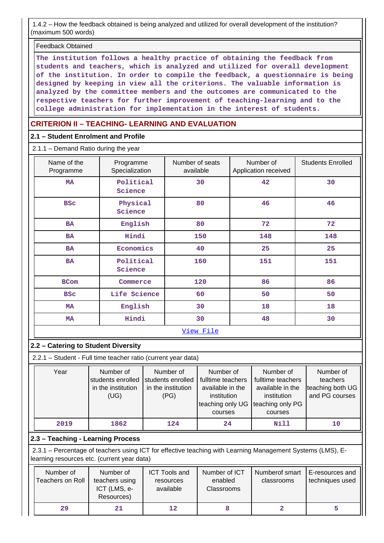1.4.2 – How the feedback obtained is being analyzed and utilized for overall development of the institution? (maximum 500 words)

#### Feedback Obtained

**The institution follows a healthy practice of obtaining the feedback from students and teachers, which is analyzed and utilized for overall development of the institution. In order to compile the feedback, a questionnaire is being designed by keeping in view all the criterions. The valuable information is analyzed by the committee members and the outcomes are communicated to the respective teachers for further improvement of teaching-learning and to the college administration for implementation in the interest of students.**

## **CRITERION II – TEACHING- LEARNING AND EVALUATION**

## **2.1 – Student Enrolment and Profile**

## 2.1.1 – Demand Ratio during the year

| Name of the<br>Programme | Programme<br>Specialization | Number of seats<br>available | Number of<br>Application received | <b>Students Enrolled</b> |  |
|--------------------------|-----------------------------|------------------------------|-----------------------------------|--------------------------|--|
| MA                       | Political<br>Science        | 30                           | 42                                | 30                       |  |
| <b>BSC</b>               | Physical<br>Science         | 80                           | 46                                | 46                       |  |
| BA                       | English                     | 80                           | 72                                | 72                       |  |
| <b>BA</b>                | Hindi                       | 150                          | 148                               | 148                      |  |
| BA                       | Economics                   | 40                           | 25                                | 25                       |  |
| BA                       | Political<br>Science        | 160                          | 151                               | 151                      |  |
| <b>BCom</b>              | Commerce                    | 120                          | 86                                | 86                       |  |
| <b>BSC</b>               | Life Science                | 60                           | 50                                | 50                       |  |
| <b>MA</b>                | English                     | 30                           | 18                                | 18                       |  |
| <b>MA</b>                | Hindi                       | 30                           | 48                                | 30                       |  |
| View File                |                             |                              |                                   |                          |  |

## **2.2 – Catering to Student Diversity**

2.2.1 – Student - Full time teacher ratio (current year data)

| Year | Number of          | Number of                              | Number of                          | Number of         | Number of        |
|------|--------------------|----------------------------------------|------------------------------------|-------------------|------------------|
|      | students enrolled  | fulltime teachers<br>students enrolled |                                    | fulltime teachers | teachers         |
|      | in the institution | in the institution                     | available in the                   | available in the  | teaching both UG |
|      | (UG)               | (PG)                                   | institution                        | institution       | and PG courses   |
|      |                    |                                        | teaching only UG Iteaching only PG |                   |                  |
|      |                    |                                        | courses                            | courses           |                  |
| 2019 | 1862               | 124                                    | 24                                 | Nill              | 10               |

## **2.3 – Teaching - Learning Process**

 2.3.1 – Percentage of teachers using ICT for effective teaching with Learning Management Systems (LMS), Elearning resources etc. (current year data)

| Number of<br>Teachers on Roll | Number of<br>teachers using<br>ICT (LMS, e-<br>Resources) | <b>ICT Tools and</b><br>resources<br>available | Number of ICT<br>enabled<br><b>Classrooms</b> | Numberof smart<br>classrooms | E-resources and<br>techniques used |
|-------------------------------|-----------------------------------------------------------|------------------------------------------------|-----------------------------------------------|------------------------------|------------------------------------|
| 29                            | 21                                                        | 12                                             |                                               |                              |                                    |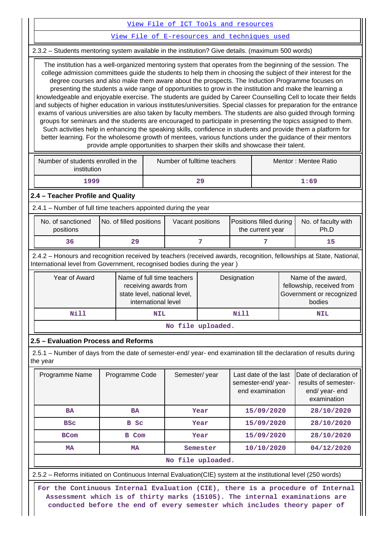[View File of ICT Tools and resources](https://assessmentonline.naac.gov.in/public/Postacc/ict_tools/11492_ict_tools_1626679221.xlsx)

[View File of E-resources and techniques used](https://assessmentonline.naac.gov.in/public/Postacc/e_resource/11492_e_resource_1626679227.xlsx)

2.3.2 – Students mentoring system available in the institution? Give details. (maximum 500 words)

 The institution has a well-organized mentoring system that operates from the beginning of the session. The college admission committees guide the students to help them in choosing the subject of their interest for the degree courses and also make them aware about the prospects. The Induction Programme focuses on presenting the students a wide range of opportunities to grow in the institution and make the learning a knowledgeable and enjoyable exercise. The students are guided by Career Counselling Cell to locate their fields and subjects of higher education in various institutes/universities. Special classes for preparation for the entrance exams of various universities are also taken by faculty members. The students are also guided through forming groups for seminars and the students are encouraged to participate in presenting the topics assigned to them. Such activities help in enhancing the speaking skills, confidence in students and provide them a platform for better learning. For the wholesome growth of mentees, various functions under the guidance of their mentors provide ample opportunities to sharpen their skills and showcase their talent.

| Number of students enrolled in the<br>institution | Number of fulltime teachers | Mentor: Mentee Ratio |
|---------------------------------------------------|-----------------------------|----------------------|
| 1999                                              | 29                          | 1:69                 |

#### **2.4 – Teacher Profile and Quality**

2.4.1 – Number of full time teachers appointed during the year

| No. of sanctioned<br>positions | No. of filled positions | Vacant positions | <b>Positions filled during</b><br>the current year | No. of faculty with<br>Ph.D |
|--------------------------------|-------------------------|------------------|----------------------------------------------------|-----------------------------|
| 36                             | 29                      |                  |                                                    | 15                          |

 2.4.2 – Honours and recognition received by teachers (received awards, recognition, fellowships at State, National, International level from Government, recognised bodies during the year )

| Year of Award     | Name of full time teachers<br>receiving awards from<br>state level, national level,<br>international level | Designation | Name of the award,<br>fellowship, received from<br>Government or recognized<br>bodies |  |  |  |  |  |
|-------------------|------------------------------------------------------------------------------------------------------------|-------------|---------------------------------------------------------------------------------------|--|--|--|--|--|
| Nill              | <b>NIL</b>                                                                                                 | Nill        | <b>NIL</b>                                                                            |  |  |  |  |  |
| No file uploaded. |                                                                                                            |             |                                                                                       |  |  |  |  |  |

## **2.5 – Evaluation Process and Reforms**

 2.5.1 – Number of days from the date of semester-end/ year- end examination till the declaration of results during the year

| Programme Name    | Programme Code | Semester/year | Last date of the last<br>semester-end/year-<br>end examination | Date of declaration of<br>results of semester-<br>end/ year- end<br>examination |  |  |  |  |  |
|-------------------|----------------|---------------|----------------------------------------------------------------|---------------------------------------------------------------------------------|--|--|--|--|--|
| <b>BA</b>         | <b>BA</b>      |               | 15/09/2020                                                     | 28/10/2020                                                                      |  |  |  |  |  |
| <b>BSC</b>        | B Sc           | Year          | 15/09/2020                                                     | 28/10/2020                                                                      |  |  |  |  |  |
| <b>BCom</b>       | B Com          | Year          | 15/09/2020                                                     | 28/10/2020                                                                      |  |  |  |  |  |
| <b>MA</b>         | MA             |               | 10/10/2020                                                     | 04/12/2020                                                                      |  |  |  |  |  |
| No file uploaded. |                |               |                                                                |                                                                                 |  |  |  |  |  |

2.5.2 – Reforms initiated on Continuous Internal Evaluation(CIE) system at the institutional level (250 words)

 **For the Continuous Internal Evaluation (CIE), there is a procedure of Internal Assessment which is of thirty marks (15105). The internal examinations are conducted before the end of every semester which includes theory paper of**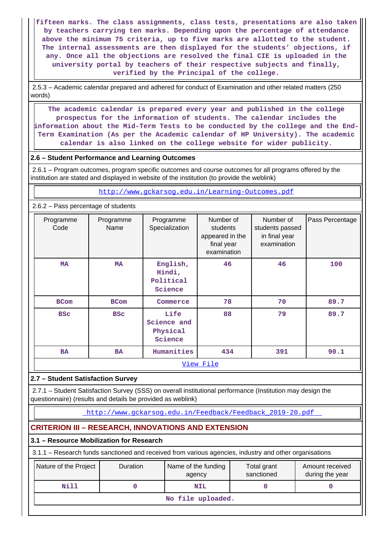**fifteen marks. The class assignments, class tests, presentations are also taken by teachers carrying ten marks. Depending upon the percentage of attendance above the minimum 75 criteria, up to five marks are allotted to the student. The internal assessments are then displayed for the students' objections, if any. Once all the objections are resolved the final CIE is uploaded in the university portal by teachers of their respective subjects and finally, verified by the Principal of the college.**

 2.5.3 – Academic calendar prepared and adhered for conduct of Examination and other related matters (250 words)

 **The academic calendar is prepared every year and published in the college prospectus for the information of students. The calendar includes the information about the Mid-Term Tests to be conducted by the college and the End-Term Examination (As per the Academic calendar of HP University). The academic calendar is also linked on the college website for wider publicity.**

## **2.6 – Student Performance and Learning Outcomes**

 2.6.1 – Program outcomes, program specific outcomes and course outcomes for all programs offered by the institution are stated and displayed in website of the institution (to provide the weblink)

<http://www.gckarsog.edu.in/Learning-Outcomes.pdf>

2.6.2 – Pass percentage of students

| Programme<br>Code | Programme<br>Name | Programme<br>Specialization                | Number of<br>students<br>appeared in the<br>final year<br>examination | Number of<br>students passed<br>in final year<br>examination | Pass Percentage |
|-------------------|-------------------|--------------------------------------------|-----------------------------------------------------------------------|--------------------------------------------------------------|-----------------|
| <b>MA</b>         | MA                | English,<br>Hindi,<br>Political<br>Science | 46                                                                    | 46                                                           | 100             |
| <b>BCom</b>       | <b>BCom</b>       | Commerce                                   | 78                                                                    | 70                                                           | 89.7            |
| <b>BSC</b>        | <b>BSC</b>        | Life<br>Science and<br>Physical<br>Science | 88                                                                    | 79                                                           | 89.7            |
| <b>BA</b>         | <b>BA</b>         | Humanities                                 | 434                                                                   | 391                                                          | 90.1            |

[View File](https://assessmentonline.naac.gov.in/public/Postacc/Pass_percentage/11492_Pass_percentage_1626681167.xlsx)

## **2.7 – Student Satisfaction Survey**

 2.7.1 – Student Satisfaction Survey (SSS) on overall institutional performance (Institution may design the questionnaire) (results and details be provided as weblink)

http://www.gckarsog.edu.in/Feedback/Feedback 2019-20.pdf

## **CRITERION III – RESEARCH, INNOVATIONS AND EXTENSION**

## **3.1 – Resource Mobilization for Research**

3.1.1 – Research funds sanctioned and received from various agencies, industry and other organisations

| Nature of the Project |      | <b>Duration</b> | Name of the funding<br>agency | Total grant<br>sanctioned | Amount received<br>during the year |  |  |  |  |
|-----------------------|------|-----------------|-------------------------------|---------------------------|------------------------------------|--|--|--|--|
|                       | Nill |                 | <b>NIL</b>                    |                           |                                    |  |  |  |  |
| No file uploaded.     |      |                 |                               |                           |                                    |  |  |  |  |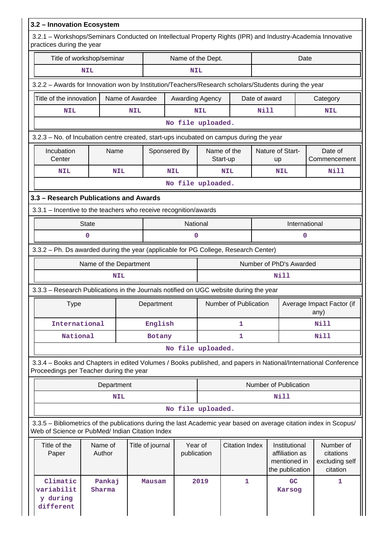|                                                                                                                                                                       | Title of workshop/seminar               |                  |                   | Name of the Dept.            |                         |               | Date                                                               |                                                                                                                 |  |  |
|-----------------------------------------------------------------------------------------------------------------------------------------------------------------------|-----------------------------------------|------------------|-------------------|------------------------------|-------------------------|---------------|--------------------------------------------------------------------|-----------------------------------------------------------------------------------------------------------------|--|--|
|                                                                                                                                                                       | <b>NIL</b>                              |                  | NIL               |                              |                         |               |                                                                    |                                                                                                                 |  |  |
| 3.2.2 - Awards for Innovation won by Institution/Teachers/Research scholars/Students during the year                                                                  |                                         |                  |                   |                              |                         |               |                                                                    |                                                                                                                 |  |  |
| Title of the innovation                                                                                                                                               |                                         | Name of Awardee  |                   | Awarding Agency              |                         | Date of award |                                                                    | Category                                                                                                        |  |  |
| <b>NIL</b>                                                                                                                                                            |                                         | <b>NIL</b>       |                   | <b>NIL</b>                   |                         | Nill          |                                                                    | <b>NIL</b>                                                                                                      |  |  |
|                                                                                                                                                                       |                                         |                  | No file uploaded. |                              |                         |               |                                                                    |                                                                                                                 |  |  |
| 3.2.3 – No. of Incubation centre created, start-ups incubated on campus during the year                                                                               |                                         |                  |                   |                              |                         |               |                                                                    |                                                                                                                 |  |  |
| Incubation<br>Name<br>Center                                                                                                                                          |                                         |                  | Sponsered By      |                              | Name of the<br>Start-up |               | Nature of Start-<br>up                                             | Date of<br>Commencement                                                                                         |  |  |
| NIL                                                                                                                                                                   | NIL                                     |                  | NIL               |                              | <b>NIL</b>              |               | <b>NIL</b>                                                         | Nill                                                                                                            |  |  |
| No file uploaded.                                                                                                                                                     |                                         |                  |                   |                              |                         |               |                                                                    |                                                                                                                 |  |  |
| 3.3 - Research Publications and Awards                                                                                                                                |                                         |                  |                   |                              |                         |               |                                                                    |                                                                                                                 |  |  |
| 3.3.1 - Incentive to the teachers who receive recognition/awards                                                                                                      |                                         |                  |                   |                              |                         |               |                                                                    |                                                                                                                 |  |  |
| <b>State</b>                                                                                                                                                          |                                         |                  |                   | National                     |                         |               |                                                                    | International                                                                                                   |  |  |
|                                                                                                                                                                       | $\mathbf 0$                             |                  |                   | 0                            |                         | 0             |                                                                    |                                                                                                                 |  |  |
| 3.3.2 - Ph. Ds awarded during the year (applicable for PG College, Research Center)                                                                                   |                                         |                  |                   |                              |                         |               |                                                                    |                                                                                                                 |  |  |
|                                                                                                                                                                       | Name of the Department                  |                  |                   |                              |                         |               | Number of PhD's Awarded                                            |                                                                                                                 |  |  |
|                                                                                                                                                                       | <b>NIL</b>                              |                  |                   |                              |                         |               | Nill                                                               |                                                                                                                 |  |  |
| 3.3.3 - Research Publications in the Journals notified on UGC website during the year                                                                                 |                                         |                  |                   |                              |                         |               |                                                                    |                                                                                                                 |  |  |
| <b>Type</b>                                                                                                                                                           |                                         | Department       |                   | <b>Number of Publication</b> |                         |               | Average Impact Factor (if<br>any)                                  |                                                                                                                 |  |  |
| International                                                                                                                                                         |                                         |                  | English           |                              | 1                       |               | <b>Nill</b>                                                        |                                                                                                                 |  |  |
| National                                                                                                                                                              |                                         | Botany           |                   |                              | 1                       |               | Nill                                                               |                                                                                                                 |  |  |
|                                                                                                                                                                       |                                         |                  | No file uploaded. |                              |                         |               |                                                                    |                                                                                                                 |  |  |
| Proceedings per Teacher during the year                                                                                                                               |                                         |                  |                   |                              |                         |               |                                                                    | 3.3.4 - Books and Chapters in edited Volumes / Books published, and papers in National/International Conference |  |  |
|                                                                                                                                                                       | Department                              |                  |                   |                              |                         |               | Number of Publication                                              |                                                                                                                 |  |  |
|                                                                                                                                                                       | <b>NIL</b>                              |                  |                   |                              |                         |               | <b>Nill</b>                                                        |                                                                                                                 |  |  |
|                                                                                                                                                                       |                                         |                  |                   | No file uploaded.            |                         |               |                                                                    |                                                                                                                 |  |  |
| 3.3.5 - Bibliometrics of the publications during the last Academic year based on average citation index in Scopus/<br>Web of Science or PubMed/ Indian Citation Index |                                         |                  |                   |                              |                         |               |                                                                    |                                                                                                                 |  |  |
| Title of the<br>Paper                                                                                                                                                 | Name of<br>Author                       | Title of journal |                   | Year of<br>publication       | <b>Citation Index</b>   |               | Institutional<br>affiliation as<br>mentioned in<br>the publication | Number of<br>citations<br>excluding self<br>citation                                                            |  |  |
| Climatic<br>variabilit<br>y during                                                                                                                                    | Pankaj<br>Mausam<br>Sharma<br>different |                  |                   | 2019                         |                         | 1             | $GC$<br>Karsog                                                     | 1                                                                                                               |  |  |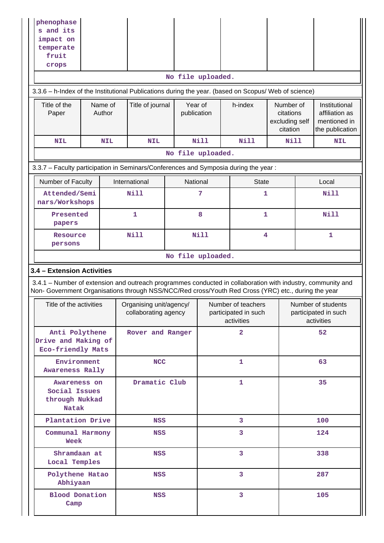| phenophase<br>s and its<br>impact on<br>temperate<br>fruit<br>crops                 |                   |            |                                                 |                   |                                   |                                                                                                                                                                                                                    |                                                      |             |                                                                    |  |  |
|-------------------------------------------------------------------------------------|-------------------|------------|-------------------------------------------------|-------------------|-----------------------------------|--------------------------------------------------------------------------------------------------------------------------------------------------------------------------------------------------------------------|------------------------------------------------------|-------------|--------------------------------------------------------------------|--|--|
|                                                                                     |                   |            |                                                 | No file uploaded. |                                   |                                                                                                                                                                                                                    |                                                      |             |                                                                    |  |  |
|                                                                                     |                   |            |                                                 |                   |                                   | 3.3.6 - h-Index of the Institutional Publications during the year. (based on Scopus/ Web of science)                                                                                                               |                                                      |             |                                                                    |  |  |
| Title of the<br>Paper                                                               | Name of<br>Author |            | Title of journal                                |                   | Year of<br>h-index<br>publication |                                                                                                                                                                                                                    | Number of<br>citations<br>excluding self<br>citation |             | Institutional<br>affiliation as<br>mentioned in<br>the publication |  |  |
| <b>NIL</b>                                                                          |                   | <b>NIL</b> | <b>NIL</b>                                      |                   | <b>Nill</b><br><b>Nill</b>        |                                                                                                                                                                                                                    | Nill                                                 |             | <b>NIL</b>                                                         |  |  |
|                                                                                     |                   |            |                                                 | No file uploaded. |                                   |                                                                                                                                                                                                                    |                                                      |             |                                                                    |  |  |
| 3.3.7 - Faculty participation in Seminars/Conferences and Symposia during the year: |                   |            |                                                 |                   |                                   |                                                                                                                                                                                                                    |                                                      |             |                                                                    |  |  |
| Number of Faculty                                                                   |                   |            | International                                   | National          |                                   | <b>State</b>                                                                                                                                                                                                       |                                                      |             | Local                                                              |  |  |
| Attended/Semi<br>nars/Workshops                                                     |                   |            | Nill                                            |                   | 7                                 | 1                                                                                                                                                                                                                  |                                                      |             | <b>Nill</b>                                                        |  |  |
| Presented<br>papers                                                                 |                   |            | 1                                               |                   | 8                                 | $\mathbf{1}$                                                                                                                                                                                                       |                                                      | <b>Nill</b> |                                                                    |  |  |
| Resource<br>persons                                                                 |                   |            | <b>Nill</b>                                     |                   | <b>Nill</b>                       | 4                                                                                                                                                                                                                  |                                                      |             | 1                                                                  |  |  |
|                                                                                     |                   |            |                                                 | No file uploaded. |                                   |                                                                                                                                                                                                                    |                                                      |             |                                                                    |  |  |
| 3.4 - Extension Activities                                                          |                   |            |                                                 |                   |                                   |                                                                                                                                                                                                                    |                                                      |             |                                                                    |  |  |
|                                                                                     |                   |            |                                                 |                   |                                   | 3.4.1 - Number of extension and outreach programmes conducted in collaboration with industry, community and<br>Non- Government Organisations through NSS/NCC/Red cross/Youth Red Cross (YRC) etc., during the year |                                                      |             |                                                                    |  |  |
| Title of the activities                                                             |                   |            | Organising unit/agency/<br>collaborating agency |                   |                                   | Number of teachers<br>participated in such<br>activities                                                                                                                                                           |                                                      |             | Number of students<br>participated in such<br>activities           |  |  |
| Anti Polythene<br>Drive and Making of<br>Eco-friendly Mats                          |                   |            | Rover and Ranger                                |                   |                                   | $\overline{2}$                                                                                                                                                                                                     |                                                      |             | 52                                                                 |  |  |
| Environment<br>Awareness Rally                                                      |                   |            | <b>NCC</b>                                      |                   |                                   | 1                                                                                                                                                                                                                  |                                                      | 63          |                                                                    |  |  |
| Awareness on<br>Social Issues<br>through Nukkad<br>Natak                            |                   |            | Dramatic Club                                   |                   |                                   | $\mathbf{1}$                                                                                                                                                                                                       |                                                      |             | 35                                                                 |  |  |
| Plantation Drive                                                                    |                   |            | <b>NSS</b>                                      |                   |                                   | 3                                                                                                                                                                                                                  |                                                      |             | 100                                                                |  |  |
| Communal Harmony<br>Week                                                            |                   |            | <b>NSS</b>                                      |                   |                                   | 3                                                                                                                                                                                                                  |                                                      |             | 124                                                                |  |  |
| Shramdaan at<br>Local Temples                                                       |                   |            | <b>NSS</b>                                      |                   |                                   | 3                                                                                                                                                                                                                  |                                                      |             | 338                                                                |  |  |
| Polythene Hatao<br>Abhiyaan                                                         |                   |            | <b>NSS</b>                                      |                   |                                   | 3                                                                                                                                                                                                                  | 287                                                  |             |                                                                    |  |  |
| <b>Blood Donation</b><br>Camp                                                       |                   |            | <b>NSS</b>                                      |                   |                                   | 3                                                                                                                                                                                                                  |                                                      |             | 105                                                                |  |  |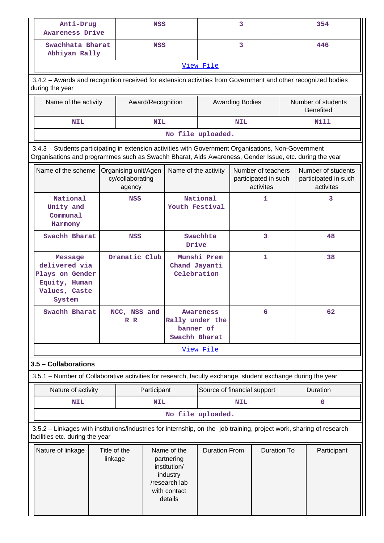| Anti-Drug<br><b>Awareness Drive</b>                                                                                                                                                                            |  |                                                    | <b>NSS</b>               |                                                                                                   |                             | 3                      |                                                         |  | 354                                                     |  |
|----------------------------------------------------------------------------------------------------------------------------------------------------------------------------------------------------------------|--|----------------------------------------------------|--------------------------|---------------------------------------------------------------------------------------------------|-----------------------------|------------------------|---------------------------------------------------------|--|---------------------------------------------------------|--|
| Swachhata Bharat<br>Abhiyan Rally                                                                                                                                                                              |  |                                                    | <b>NSS</b>               |                                                                                                   |                             | 3                      |                                                         |  | 446                                                     |  |
|                                                                                                                                                                                                                |  |                                                    |                          |                                                                                                   | View File                   |                        |                                                         |  |                                                         |  |
| 3.4.2 - Awards and recognition received for extension activities from Government and other recognized bodies<br>during the year                                                                                |  |                                                    |                          |                                                                                                   |                             |                        |                                                         |  |                                                         |  |
| Name of the activity                                                                                                                                                                                           |  |                                                    | Award/Recognition        |                                                                                                   |                             | <b>Awarding Bodies</b> |                                                         |  | Number of students<br><b>Benefited</b>                  |  |
| <b>NIL</b>                                                                                                                                                                                                     |  |                                                    | <b>NIL</b><br><b>NIL</b> |                                                                                                   |                             |                        | Nill                                                    |  |                                                         |  |
|                                                                                                                                                                                                                |  |                                                    |                          |                                                                                                   | No file uploaded.           |                        |                                                         |  |                                                         |  |
| 3.4.3 - Students participating in extension activities with Government Organisations, Non-Government<br>Organisations and programmes such as Swachh Bharat, Aids Awareness, Gender Issue, etc. during the year |  |                                                    |                          |                                                                                                   |                             |                        |                                                         |  |                                                         |  |
| Name of the scheme                                                                                                                                                                                             |  | Organising unit/Agen<br>cy/collaborating<br>agency |                          | Name of the activity                                                                              |                             |                        | Number of teachers<br>participated in such<br>activites |  | Number of students<br>participated in such<br>activites |  |
| National<br>Unity and<br>Communal<br>Harmony                                                                                                                                                                   |  | <b>NSS</b>                                         |                          | National<br>Youth Festival                                                                        |                             | 1                      |                                                         |  | 3                                                       |  |
| Swachh Bharat<br><b>NSS</b>                                                                                                                                                                                    |  |                                                    | Drive                    | Swachhta                                                                                          |                             | 3                      | 48                                                      |  |                                                         |  |
| <b>Message</b><br>delivered via<br>Plays on Gender<br>Equity, Human<br>Values, Caste<br>System                                                                                                                 |  | Dramatic Club                                      |                          | Munshi Prem<br>Chand Jayanti<br>Celebration                                                       |                             | $\mathbf{1}$           |                                                         |  | 38                                                      |  |
| Swachh Bharat                                                                                                                                                                                                  |  | NCC, NSS and<br>R R                                |                          | <b>Awareness</b><br>Rally under the<br>banner of<br>Swachh Bharat                                 |                             | 6                      |                                                         |  | 62                                                      |  |
|                                                                                                                                                                                                                |  |                                                    |                          |                                                                                                   | View File                   |                        |                                                         |  |                                                         |  |
| 3.5 - Collaborations                                                                                                                                                                                           |  |                                                    |                          |                                                                                                   |                             |                        |                                                         |  |                                                         |  |
| 3.5.1 – Number of Collaborative activities for research, faculty exchange, student exchange during the year                                                                                                    |  |                                                    |                          |                                                                                                   |                             |                        |                                                         |  |                                                         |  |
| Nature of activity                                                                                                                                                                                             |  |                                                    | Participant              |                                                                                                   | Source of financial support |                        |                                                         |  | Duration                                                |  |
| <b>NIL</b>                                                                                                                                                                                                     |  |                                                    | <b>NIL</b>               |                                                                                                   |                             | <b>NIL</b>             |                                                         |  | 0                                                       |  |
|                                                                                                                                                                                                                |  |                                                    |                          |                                                                                                   | No file uploaded.           |                        |                                                         |  |                                                         |  |
| 3.5.2 - Linkages with institutions/industries for internship, on-the- job training, project work, sharing of research<br>facilities etc. during the year                                                       |  |                                                    |                          |                                                                                                   |                             |                        |                                                         |  |                                                         |  |
| Nature of linkage<br>Title of the                                                                                                                                                                              |  | linkage                                            |                          | Name of the<br>partnering<br>institution/<br>industry<br>/research lab<br>with contact<br>details | <b>Duration From</b>        |                        | <b>Duration To</b>                                      |  | Participant                                             |  |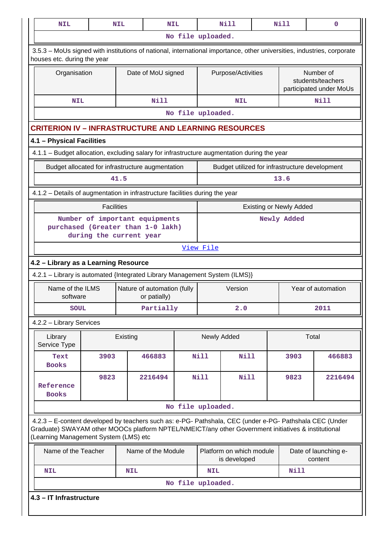| <b>NIL</b>                                                                                                                                                                                                                                              |                         | <b>NIL</b> | <b>NIL</b>                                  |                   |             | Nill                                                                        |                                | Nill                                                      |                    | 0       |
|---------------------------------------------------------------------------------------------------------------------------------------------------------------------------------------------------------------------------------------------------------|-------------------------|------------|---------------------------------------------|-------------------|-------------|-----------------------------------------------------------------------------|--------------------------------|-----------------------------------------------------------|--------------------|---------|
|                                                                                                                                                                                                                                                         |                         |            |                                             | No file uploaded. |             |                                                                             |                                |                                                           |                    |         |
| 3.5.3 – MoUs signed with institutions of national, international importance, other universities, industries, corporate<br>houses etc. during the year                                                                                                   |                         |            |                                             |                   |             |                                                                             |                                |                                                           |                    |         |
| Organisation                                                                                                                                                                                                                                            |                         |            | Date of MoU signed                          |                   |             | Purpose/Activities                                                          |                                | Number of<br>students/teachers<br>participated under MoUs |                    |         |
| <b>NIL</b>                                                                                                                                                                                                                                              |                         |            | Nill                                        |                   | <b>NIL</b>  |                                                                             | Nill                           |                                                           |                    |         |
|                                                                                                                                                                                                                                                         |                         |            |                                             | No file uploaded. |             |                                                                             |                                |                                                           |                    |         |
| <b>CRITERION IV - INFRASTRUCTURE AND LEARNING RESOURCES</b>                                                                                                                                                                                             |                         |            |                                             |                   |             |                                                                             |                                |                                                           |                    |         |
| 4.1 - Physical Facilities                                                                                                                                                                                                                               |                         |            |                                             |                   |             |                                                                             |                                |                                                           |                    |         |
| 4.1.1 - Budget allocation, excluding salary for infrastructure augmentation during the year                                                                                                                                                             |                         |            |                                             |                   |             |                                                                             |                                |                                                           |                    |         |
| Budget allocated for infrastructure augmentation                                                                                                                                                                                                        |                         |            |                                             |                   |             | Budget utilized for infrastructure development                              |                                |                                                           |                    |         |
|                                                                                                                                                                                                                                                         |                         | 41.5       |                                             |                   |             |                                                                             |                                | 13.6                                                      |                    |         |
| 4.1.2 – Details of augmentation in infrastructure facilities during the year                                                                                                                                                                            |                         |            |                                             |                   |             |                                                                             |                                |                                                           |                    |         |
|                                                                                                                                                                                                                                                         | <b>Facilities</b>       |            |                                             |                   |             |                                                                             | <b>Existing or Newly Added</b> |                                                           |                    |         |
| Number of important equipments<br>purchased (Greater than 1-0 lakh)                                                                                                                                                                                     | during the current year |            |                                             | Newly Added       |             |                                                                             |                                |                                                           |                    |         |
|                                                                                                                                                                                                                                                         |                         |            |                                             |                   | View File   |                                                                             |                                |                                                           |                    |         |
| 4.2 - Library as a Learning Resource                                                                                                                                                                                                                    |                         |            |                                             |                   |             |                                                                             |                                |                                                           |                    |         |
| 4.2.1 - Library is automated {Integrated Library Management System (ILMS)}                                                                                                                                                                              |                         |            |                                             |                   |             |                                                                             |                                |                                                           |                    |         |
| Name of the ILMS<br>software                                                                                                                                                                                                                            |                         |            | Nature of automation (fully<br>or patially) |                   | Version     |                                                                             |                                |                                                           | Year of automation |         |
| SOUL                                                                                                                                                                                                                                                    |                         |            | Partially                                   |                   |             | 2.0                                                                         |                                | 2011                                                      |                    |         |
| 4.2.2 - Library Services                                                                                                                                                                                                                                |                         |            |                                             |                   |             |                                                                             |                                |                                                           |                    |         |
| Library<br>Service Type                                                                                                                                                                                                                                 |                         | Existing   |                                             |                   |             | Newly Added                                                                 |                                |                                                           | Total              |         |
| Text<br><b>Books</b>                                                                                                                                                                                                                                    | 3903                    |            | 466883                                      |                   | <b>Nill</b> | <b>Nill</b>                                                                 |                                | 3903                                                      |                    | 466883  |
| Reference<br><b>Books</b>                                                                                                                                                                                                                               | 9823                    |            | 2216494                                     |                   | <b>Nill</b> | <b>Nill</b>                                                                 |                                | 9823                                                      |                    | 2216494 |
|                                                                                                                                                                                                                                                         |                         |            |                                             | No file uploaded. |             |                                                                             |                                |                                                           |                    |         |
| 4.2.3 – E-content developed by teachers such as: e-PG- Pathshala, CEC (under e-PG- Pathshala CEC (Under<br>Graduate) SWAYAM other MOOCs platform NPTEL/NMEICT/any other Government initiatives & institutional<br>(Learning Management System (LMS) etc |                         |            |                                             |                   |             |                                                                             |                                |                                                           |                    |         |
| Name of the Teacher<br>Name of the Module                                                                                                                                                                                                               |                         |            |                                             |                   |             | Platform on which module<br>Date of launching e-<br>is developed<br>content |                                |                                                           |                    |         |
| NIL                                                                                                                                                                                                                                                     |                         | NIL        |                                             |                   | <b>NIL</b>  |                                                                             |                                | Nill                                                      |                    |         |
|                                                                                                                                                                                                                                                         |                         |            |                                             | No file uploaded. |             |                                                                             |                                |                                                           |                    |         |
| 4.3 - IT Infrastructure                                                                                                                                                                                                                                 |                         |            |                                             |                   |             |                                                                             |                                |                                                           |                    |         |
|                                                                                                                                                                                                                                                         |                         |            |                                             |                   |             |                                                                             |                                |                                                           |                    |         |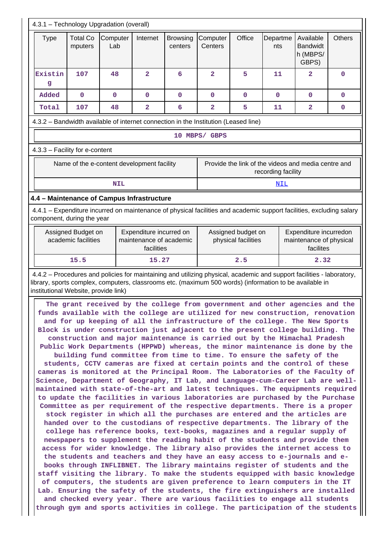| 4.3.1 - Technology Upgradation (overall)                                                                                                                                                                                                                                                                                                                                                                                                                                                                                      |                                                                             |                 |                                                                  |                            |                         |                                           |                    |                                                                                                                                                                                                                                                                                                                                                                                                                                                                                                                                                                                                                                                                                                                                                                                                                                                                                                                                                                                                                                                                                                                                                                                                                                                                                                                       |               |
|-------------------------------------------------------------------------------------------------------------------------------------------------------------------------------------------------------------------------------------------------------------------------------------------------------------------------------------------------------------------------------------------------------------------------------------------------------------------------------------------------------------------------------|-----------------------------------------------------------------------------|-----------------|------------------------------------------------------------------|----------------------------|-------------------------|-------------------------------------------|--------------------|-----------------------------------------------------------------------------------------------------------------------------------------------------------------------------------------------------------------------------------------------------------------------------------------------------------------------------------------------------------------------------------------------------------------------------------------------------------------------------------------------------------------------------------------------------------------------------------------------------------------------------------------------------------------------------------------------------------------------------------------------------------------------------------------------------------------------------------------------------------------------------------------------------------------------------------------------------------------------------------------------------------------------------------------------------------------------------------------------------------------------------------------------------------------------------------------------------------------------------------------------------------------------------------------------------------------------|---------------|
| <b>Type</b>                                                                                                                                                                                                                                                                                                                                                                                                                                                                                                                   | <b>Total Co</b><br>mputers                                                  | Computer<br>Lab | Internet                                                         | <b>Browsing</b><br>centers | Computer<br>Centers     | Office                                    | Departme<br>nts    | Available<br><b>Bandwidt</b><br>h (MBPS/<br>GBPS)                                                                                                                                                                                                                                                                                                                                                                                                                                                                                                                                                                                                                                                                                                                                                                                                                                                                                                                                                                                                                                                                                                                                                                                                                                                                     | <b>Others</b> |
| Existin<br>g                                                                                                                                                                                                                                                                                                                                                                                                                                                                                                                  | 107                                                                         | 48              | $\overline{\mathbf{2}}$                                          | 6                          | $\overline{\mathbf{2}}$ | 5                                         | 11                 | $\overline{\mathbf{2}}$                                                                                                                                                                                                                                                                                                                                                                                                                                                                                                                                                                                                                                                                                                                                                                                                                                                                                                                                                                                                                                                                                                                                                                                                                                                                                               | 0             |
| Added                                                                                                                                                                                                                                                                                                                                                                                                                                                                                                                         | $\mathbf 0$                                                                 | $\mathbf{O}$    | $\mathbf{O}$                                                     | 0                          | $\mathbf 0$             | $\mathbf 0$                               | $\mathbf{0}$       | $\mathbf 0$                                                                                                                                                                                                                                                                                                                                                                                                                                                                                                                                                                                                                                                                                                                                                                                                                                                                                                                                                                                                                                                                                                                                                                                                                                                                                                           | 0             |
| Total                                                                                                                                                                                                                                                                                                                                                                                                                                                                                                                         | 107                                                                         | 48              | $\overline{\mathbf{2}}$                                          | 6                          | $\overline{\mathbf{2}}$ | 5                                         | 11                 | $\overline{a}$                                                                                                                                                                                                                                                                                                                                                                                                                                                                                                                                                                                                                                                                                                                                                                                                                                                                                                                                                                                                                                                                                                                                                                                                                                                                                                        | 0             |
| 4.3.2 - Bandwidth available of internet connection in the Institution (Leased line)                                                                                                                                                                                                                                                                                                                                                                                                                                           |                                                                             |                 |                                                                  |                            |                         |                                           |                    |                                                                                                                                                                                                                                                                                                                                                                                                                                                                                                                                                                                                                                                                                                                                                                                                                                                                                                                                                                                                                                                                                                                                                                                                                                                                                                                       |               |
|                                                                                                                                                                                                                                                                                                                                                                                                                                                                                                                               |                                                                             |                 |                                                                  |                            | 10 MBPS/ GBPS           |                                           |                    |                                                                                                                                                                                                                                                                                                                                                                                                                                                                                                                                                                                                                                                                                                                                                                                                                                                                                                                                                                                                                                                                                                                                                                                                                                                                                                                       |               |
| 4.3.3 - Facility for e-content                                                                                                                                                                                                                                                                                                                                                                                                                                                                                                |                                                                             |                 |                                                                  |                            |                         |                                           |                    |                                                                                                                                                                                                                                                                                                                                                                                                                                                                                                                                                                                                                                                                                                                                                                                                                                                                                                                                                                                                                                                                                                                                                                                                                                                                                                                       |               |
|                                                                                                                                                                                                                                                                                                                                                                                                                                                                                                                               |                                                                             |                 | Name of the e-content development facility                       |                            |                         |                                           | recording facility | Provide the link of the videos and media centre and                                                                                                                                                                                                                                                                                                                                                                                                                                                                                                                                                                                                                                                                                                                                                                                                                                                                                                                                                                                                                                                                                                                                                                                                                                                                   |               |
|                                                                                                                                                                                                                                                                                                                                                                                                                                                                                                                               |                                                                             | <b>NIL</b>      |                                                                  |                            |                         |                                           | NIL                |                                                                                                                                                                                                                                                                                                                                                                                                                                                                                                                                                                                                                                                                                                                                                                                                                                                                                                                                                                                                                                                                                                                                                                                                                                                                                                                       |               |
| 4.4 - Maintenance of Campus Infrastructure                                                                                                                                                                                                                                                                                                                                                                                                                                                                                    |                                                                             |                 |                                                                  |                            |                         |                                           |                    |                                                                                                                                                                                                                                                                                                                                                                                                                                                                                                                                                                                                                                                                                                                                                                                                                                                                                                                                                                                                                                                                                                                                                                                                                                                                                                                       |               |
| 4.4.1 – Expenditure incurred on maintenance of physical facilities and academic support facilities, excluding salary<br>component, during the year                                                                                                                                                                                                                                                                                                                                                                            |                                                                             |                 |                                                                  |                            |                         |                                           |                    |                                                                                                                                                                                                                                                                                                                                                                                                                                                                                                                                                                                                                                                                                                                                                                                                                                                                                                                                                                                                                                                                                                                                                                                                                                                                                                                       |               |
|                                                                                                                                                                                                                                                                                                                                                                                                                                                                                                                               | Assigned Budget on<br>academic facilities                                   |                 | Expenditure incurred on<br>maintenance of academic<br>facilities |                            |                         | Assigned budget on<br>physical facilities |                    | Expenditure incurredon<br>maintenance of physical<br>facilites                                                                                                                                                                                                                                                                                                                                                                                                                                                                                                                                                                                                                                                                                                                                                                                                                                                                                                                                                                                                                                                                                                                                                                                                                                                        |               |
|                                                                                                                                                                                                                                                                                                                                                                                                                                                                                                                               | 15.5                                                                        |                 | 15.27                                                            |                            |                         | 2.5                                       |                    | 2.32                                                                                                                                                                                                                                                                                                                                                                                                                                                                                                                                                                                                                                                                                                                                                                                                                                                                                                                                                                                                                                                                                                                                                                                                                                                                                                                  |               |
| 4.4.2 - Procedures and policies for maintaining and utilizing physical, academic and support facilities - laboratory,<br>library, sports complex, computers, classrooms etc. (maximum 500 words) (information to be available in<br>institutional Website, provide link)<br>Science, Department of Geography, IT Lab, and Language-cum-Career Lab are well-<br>maintained with state-of-the-art and latest techniques. The equipments required<br>books through INFLIBNET. The library maintains register of students and the | the students and teachers and they have an easy access to e-journals and e- |                 |                                                                  |                            |                         |                                           |                    | The grant received by the college from government and other agencies and the<br>funds available with the college are utilized for new construction, renovation<br>and for up keeping of all the infrastructure of the college. The New Sports<br>Block is under construction just adjacent to the present college building. The<br>construction and major maintenance is carried out by the Himachal Pradesh<br>Public Work Departments (HPPWD) whereas, the minor maintenance is done by the<br>building fund committee from time to time. To ensure the safety of the<br>students, CCTV cameras are fixed at certain points and the control of these<br>cameras is monitored at the Principal Room. The Laboratories of the Faculty of<br>to update the facilities in various laboratories are purchased by the Purchase<br>Committee as per requirement of the respective departments. There is a proper<br>stock register in which all the purchases are entered and the articles are<br>handed over to the custodians of respective departments. The library of the<br>college has reference books, text-books, magazines and a regular supply of<br>newspapers to supplement the reading habit of the students and provide them<br>access for wider knowledge. The library also provides the internet access to |               |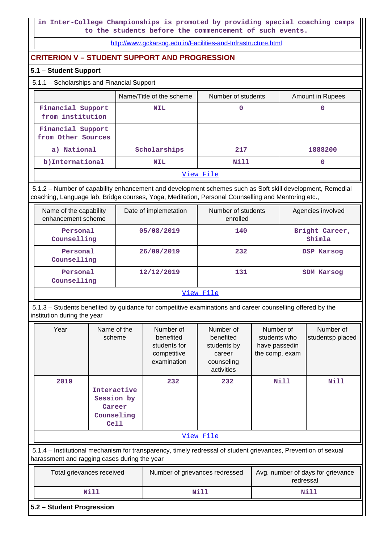## **in Inter-College Championships is promoted by providing special coaching camps to the students before the commencement of such events.**

<http://www.gckarsog.edu.in/Facilities-and-Infrastructure.html>

## **CRITERION V – STUDENT SUPPORT AND PROGRESSION**

#### **5.1 – Student Support**

## 5.1.1 – Scholarships and Financial Support

|                                         | Name/Title of the scheme | Number of students | Amount in Rupees |  |  |
|-----------------------------------------|--------------------------|--------------------|------------------|--|--|
| Financial Support<br>from institution   | <b>NIL</b>               |                    |                  |  |  |
| Financial Support<br>from Other Sources |                          |                    |                  |  |  |
| a) National                             | Scholarships             | 217                | 1888200          |  |  |
| b) International                        | <b>NIL</b>               | Nill               | 0                |  |  |
| View File                               |                          |                    |                  |  |  |

 5.1.2 – Number of capability enhancement and development schemes such as Soft skill development, Remedial coaching, Language lab, Bridge courses, Yoga, Meditation, Personal Counselling and Mentoring etc.,

| Name of the capability<br>enhancement scheme | Date of implemetation | Number of students<br>enrolled | Agencies involved        |  |
|----------------------------------------------|-----------------------|--------------------------------|--------------------------|--|
| Personal<br>Counselling                      | 05/08/2019            | 140                            | Bright Career,<br>Shimla |  |
| Personal<br>Counselling                      | 26/09/2019            | 232                            | DSP Karsog               |  |
| Personal<br>Counselling                      | 12/12/2019            | 131                            | <b>SDM Karsog</b>        |  |
| View File                                    |                       |                                |                          |  |

 5.1.3 – Students benefited by guidance for competitive examinations and career counselling offered by the institution during the year

| Year | Name of the<br>scheme                                                                                                                                          | Number of<br>benefited<br>students for<br>competitive<br>examination | Number of<br>benefited<br>students by<br>career<br>counseling<br>activities | Number of<br>students who<br>have passedin<br>the comp. exam | Number of<br>studentsp placed |  |  |
|------|----------------------------------------------------------------------------------------------------------------------------------------------------------------|----------------------------------------------------------------------|-----------------------------------------------------------------------------|--------------------------------------------------------------|-------------------------------|--|--|
| 2019 | Interactive<br>Session by<br>Career<br>Counseling<br>Cell                                                                                                      | 232                                                                  | 232                                                                         | Nill                                                         | Nill                          |  |  |
|      | View File                                                                                                                                                      |                                                                      |                                                                             |                                                              |                               |  |  |
|      | 5.1.4 – Institutional mechanism for transparency, timely redressal of student grievances, Prevention of sexual<br>harassment and ragging cases during the year |                                                                      |                                                                             |                                                              |                               |  |  |

| Total grievances received | Number of grievances redressed | Avg. number of days for grievance<br>redressal |
|---------------------------|--------------------------------|------------------------------------------------|
| Nill                      | Nill                           | Nill                                           |

## **5.2 – Student Progression**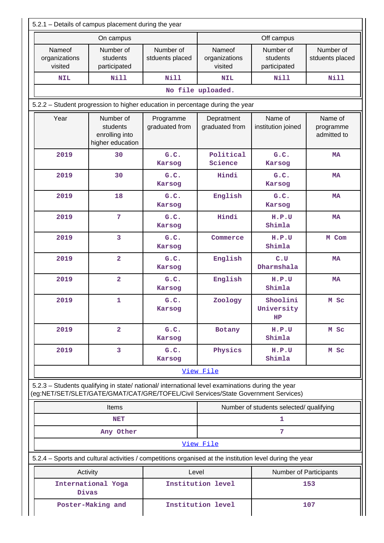|                                    | 5.2.1 - Details of campus placement during the year                                                                                                                                    |                             |                                    |                                         |                                     |
|------------------------------------|----------------------------------------------------------------------------------------------------------------------------------------------------------------------------------------|-----------------------------|------------------------------------|-----------------------------------------|-------------------------------------|
|                                    | On campus                                                                                                                                                                              |                             |                                    | Off campus                              |                                     |
| Nameof<br>organizations<br>visited | Number of<br>Number of<br>students<br>stduents placed<br>participated                                                                                                                  |                             | Nameof<br>organizations<br>visited | Number of<br>students<br>participated   | Number of<br>stduents placed        |
| <b>NIL</b>                         | Nill                                                                                                                                                                                   | Nill                        | <b>NIL</b>                         | Nill                                    | <b>Nill</b>                         |
|                                    |                                                                                                                                                                                        |                             | No file uploaded.                  |                                         |                                     |
|                                    | 5.2.2 – Student progression to higher education in percentage during the year                                                                                                          |                             |                                    |                                         |                                     |
| Year                               | Number of<br>students<br>enrolling into<br>higher education                                                                                                                            | Programme<br>graduated from | Depratment<br>graduated from       | Name of<br>institution joined           | Name of<br>programme<br>admitted to |
| 2019                               | 30                                                                                                                                                                                     | G.C.<br>Karsog              | Political<br>Science               | G.C.<br>Karsog                          | <b>MA</b>                           |
| 2019                               | 30                                                                                                                                                                                     | G.C.<br>Karsog              | Hindi                              | G.C.<br>Karsog                          | <b>MA</b>                           |
| 2019                               | 18                                                                                                                                                                                     | G.C.<br>Karsog              | English                            | G.C.<br>Karsog                          | <b>MA</b>                           |
| 2019                               | $\overline{7}$                                                                                                                                                                         | G.C.<br>Karsog              | Hindi                              | H.P.U<br>Shimla                         | <b>MA</b>                           |
| 2019                               | 3                                                                                                                                                                                      | G.C.<br>Karsog              | Commerce                           | H.P.U<br>Shimla                         | M Com                               |
| 2019                               | $\overline{2}$                                                                                                                                                                         | G.C.<br>Karsog              | English                            | C.U<br>Dharmshala                       | <b>MA</b>                           |
| 2019                               | $\overline{2}$                                                                                                                                                                         | G.C.<br>Karsog              | English                            | H.P.U<br>Shimla                         | <b>MA</b>                           |
| 2019                               | $\mathbf{1}$                                                                                                                                                                           | G.C.<br>Karsog              | Zoology                            | Shoolini<br>University<br>HP            | M Sc                                |
| 2019                               | $\overline{2}$                                                                                                                                                                         | G.C.<br>Karsog              | Botany                             | H.P.U<br>Shimla                         | M Sc                                |
| 2019                               | $\overline{3}$                                                                                                                                                                         | G.C.<br>Karsog              | Physics                            | H.P.U<br>Shimla                         | M Sc                                |
|                                    |                                                                                                                                                                                        |                             | View File                          |                                         |                                     |
|                                    | 5.2.3 - Students qualifying in state/ national/ international level examinations during the year<br>(eg:NET/SET/SLET/GATE/GMAT/CAT/GRE/TOFEL/Civil Services/State Government Services) |                             |                                    |                                         |                                     |
|                                    | <b>Items</b>                                                                                                                                                                           |                             |                                    | Number of students selected/ qualifying |                                     |
|                                    | <b>NET</b>                                                                                                                                                                             |                             | 1                                  |                                         |                                     |
|                                    | Any Other                                                                                                                                                                              |                             |                                    | 7                                       |                                     |
|                                    |                                                                                                                                                                                        |                             | View File                          |                                         |                                     |
|                                    | 5.2.4 – Sports and cultural activities / competitions organised at the institution level during the year                                                                               |                             |                                    |                                         |                                     |
|                                    | Activity                                                                                                                                                                               | Level                       |                                    |                                         | Number of Participants              |
|                                    | International Yoga<br>Divas                                                                                                                                                            |                             | Institution level                  |                                         | 153                                 |
|                                    | Poster-Making and                                                                                                                                                                      |                             | Institution level                  |                                         | 107                                 |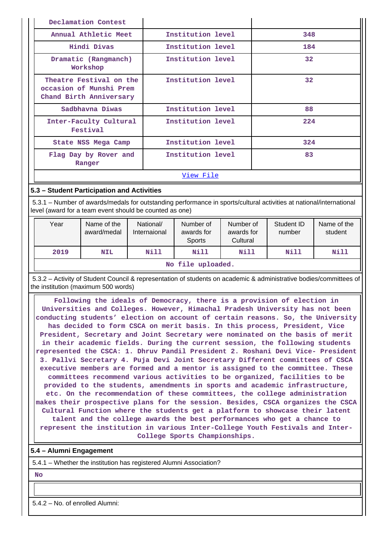| Declamation Contest                                                                                                                                                            |                   |                 |  |  |
|--------------------------------------------------------------------------------------------------------------------------------------------------------------------------------|-------------------|-----------------|--|--|
| Annual Athletic Meet                                                                                                                                                           | Institution level | 348             |  |  |
| Hindi Divas                                                                                                                                                                    | Institution level | 184             |  |  |
| Dramatic (Rangmanch)<br>Workshop                                                                                                                                               | Institution level | 32              |  |  |
| Theatre Festival on the<br>occasion of Munshi Prem<br>Chand Birth Anniversary                                                                                                  | Institution level | 32 <sub>2</sub> |  |  |
| Sadbhavna Diwas                                                                                                                                                                | Institution level | 88              |  |  |
| Inter-Faculty Cultural<br>Festival                                                                                                                                             | Institution level | 224             |  |  |
| State NSS Mega Camp                                                                                                                                                            | Institution level | 324             |  |  |
| Flag Day by Rover and<br>Ranger                                                                                                                                                | Institution level | 83              |  |  |
|                                                                                                                                                                                | View File         |                 |  |  |
| 5.3 – Student Participation and Activities                                                                                                                                     |                   |                 |  |  |
| 5.3.1 – Number of awards/medals for outstanding performance in sports/cultural activities at national/international<br>level (award for a team event should be counted as one) |                   |                 |  |  |
|                                                                                                                                                                                |                   |                 |  |  |

| Year              | Name of the<br>award/medal | National/<br>Internaional | Number of<br>awards for<br><b>Sports</b> | Number of<br>awards for<br>Cultural | Student ID<br>number | Name of the<br>student |
|-------------------|----------------------------|---------------------------|------------------------------------------|-------------------------------------|----------------------|------------------------|
| 2019              | <b>NIL</b>                 | Nill                      | Nill                                     | Nill                                | Nill                 | Nill                   |
| No file uploaded. |                            |                           |                                          |                                     |                      |                        |

 5.3.2 – Activity of Student Council & representation of students on academic & administrative bodies/committees of the institution (maximum 500 words)

 **Following the ideals of Democracy, there is a provision of election in Universities and Colleges. However, Himachal Pradesh University has not been conducting students' election on account of certain reasons. So, the University has decided to form CSCA on merit basis. In this process, President, Vice President, Secretary and Joint Secretary were nominated on the basis of merit in their academic fields. During the current session, the following students represented the CSCA: 1. Dhruv Pandil President 2. Roshani Devi Vice- President 3. Pallvi Secretary 4. Puja Devi Joint Secretary Different committees of CSCA executive members are formed and a mentor is assigned to the committee. These committees recommend various activities to be organized, facilities to be provided to the students, amendments in sports and academic infrastructure, etc. On the recommendation of these committees, the college administration makes their prospective plans for the session. Besides, CSCA organizes the CSCA Cultural Function where the students get a platform to showcase their latent talent and the college awards the best performances who get a chance to represent the institution in various Inter-College Youth Festivals and Inter-College Sports Championships.**

## **5.4 – Alumni Engagement**

5.4.1 – Whether the institution has registered Alumni Association?

 **No**

5.4.2 – No. of enrolled Alumni: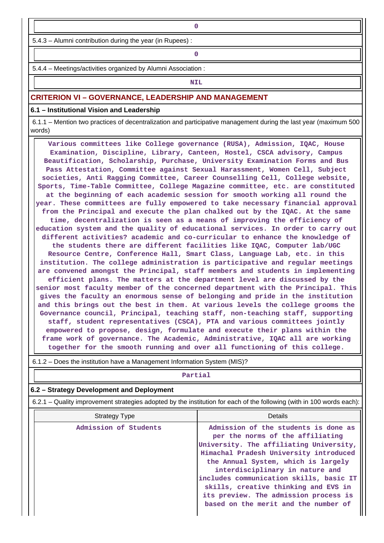5.4.3 – Alumni contribution during the year (in Rupees) :

**0**

5.4.4 – Meetings/activities organized by Alumni Association :

**NIL** 

#### **CRITERION VI – GOVERNANCE, LEADERSHIP AND MANAGEMENT**

**6.1 – Institutional Vision and Leadership**

 6.1.1 – Mention two practices of decentralization and participative management during the last year (maximum 500 words)

 **Various committees like College governance (RUSA), Admission, IQAC, House Examination, Discipline, Library, Canteen, Hostel, CSCA advisory, Campus Beautification, Scholarship, Purchase, University Examination Forms and Bus Pass Attestation, Committee against Sexual Harassment, Women Cell, Subject societies, Anti Ragging Committee, Career Counselling Cell, College website, Sports, Time-Table Committee, College Magazine committee, etc. are constituted at the beginning of each academic session for smooth working all round the year. These committees are fully empowered to take necessary financial approval from the Principal and execute the plan chalked out by the IQAC. At the same time, decentralization is seen as a means of improving the efficiency of education system and the quality of educational services. In order to carry out different activities? academic and co-curricular to enhance the knowledge of the students there are different facilities like IQAC, Computer lab/UGC Resource Centre, Conference Hall, Smart Class, Language Lab, etc. in this institution. The college administration is participative and regular meetings are convened amongst the Principal, staff members and students in implementing efficient plans. The matters at the department level are discussed by the senior most faculty member of the concerned department with the Principal. This gives the faculty an enormous sense of belonging and pride in the institution and this brings out the best in them. At various levels the college grooms the Governance council, Principal, teaching staff, non-teaching staff, supporting staff, student representatives (CSCA), PTA and various committees jointly empowered to propose, design, formulate and execute their plans within the frame work of governance. The Academic, Administrative, IQAC all are working together for the smooth running and over all functioning of this college.**

 **Partial 6.2 – Strategy Development and Deployment Strategy Type Community Community** Details  **Admission of Students Admission of the students is done as**

6.1.2 – Does the institution have a Management Information System (MIS)?

6.2.1 – Quality improvement strategies adopted by the institution for each of the following (with in 100 words each):

| <b>Strategy Type</b>  | Details                                                                                                                                                                                                                                                                                                                                                                                                     |
|-----------------------|-------------------------------------------------------------------------------------------------------------------------------------------------------------------------------------------------------------------------------------------------------------------------------------------------------------------------------------------------------------------------------------------------------------|
| Admission of Students | Admission of the students is done as<br>per the norms of the affiliating<br>University. The affiliating University,<br>Himachal Pradesh University introduced<br>the Annual System, which is largely<br>interdisciplinary in nature and<br>includes communication skills, basic IT<br>skills, creative thinking and EVS in<br>its preview. The admission process is<br>based on the merit and the number of |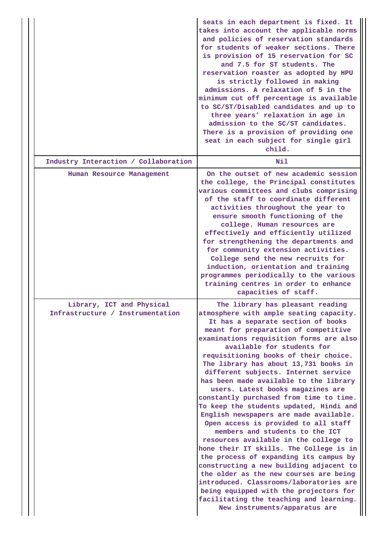|                                                               | seats in each department is fixed. It<br>takes into account the applicable norms<br>and policies of reservation standards<br>for students of weaker sections. There<br>is provision of 15 reservation for SC<br>and 7.5 for ST students. The<br>reservation roaster as adopted by HPU<br>is strictly followed in making<br>admissions. A relaxation of 5 in the<br>minimum cut off percentage is available<br>to SC/ST/Disabled candidates and up to<br>three years' relaxation in age in<br>admission to the SC/ST candidates.<br>There is a provision of providing one<br>seat in each subject for single girl<br>child.                                                                                                                                                                                                                                                                                                                                                                                                                 |
|---------------------------------------------------------------|--------------------------------------------------------------------------------------------------------------------------------------------------------------------------------------------------------------------------------------------------------------------------------------------------------------------------------------------------------------------------------------------------------------------------------------------------------------------------------------------------------------------------------------------------------------------------------------------------------------------------------------------------------------------------------------------------------------------------------------------------------------------------------------------------------------------------------------------------------------------------------------------------------------------------------------------------------------------------------------------------------------------------------------------|
| Industry Interaction / Collaboration                          | Nil                                                                                                                                                                                                                                                                                                                                                                                                                                                                                                                                                                                                                                                                                                                                                                                                                                                                                                                                                                                                                                        |
| Human Resource Management                                     | On the outset of new academic session<br>the college, the Principal constitutes<br>various committees and clubs comprising<br>of the staff to coordinate different<br>activities throughout the year to<br>ensure smooth functioning of the<br>college. Human resources are<br>effectively and efficiently utilized<br>for strengthening the departments and<br>for community extension activities.<br>College send the new recruits for<br>induction, orientation and training<br>programmes periodically to the various<br>training centres in order to enhance<br>capacities of staff.                                                                                                                                                                                                                                                                                                                                                                                                                                                  |
| Library, ICT and Physical<br>Infrastructure / Instrumentation | The library has pleasant reading<br>atmosphere with ample seating capacity.<br>It has a separate section of books<br>meant for preparation of competitive<br>examinations requisition forms are also<br>available for students for<br>requisitioning books of their choice.<br>The library has about 13,731 books in<br>different subjects. Internet service<br>has been made available to the library<br>users. Latest books magazines are<br>constantly purchased from time to time.<br>To keep the students updated, Hindi and<br>English newspapers are made available.<br>Open access is provided to all staff<br>members and students to the ICT<br>resources available in the college to<br>hone their IT skills. The College is in<br>the process of expanding its campus by<br>constructing a new building adjacent to<br>the older as the new courses are being<br>introduced. Classrooms/laboratories are<br>being equipped with the projectors for<br>facilitating the teaching and learning.<br>New instruments/apparatus are |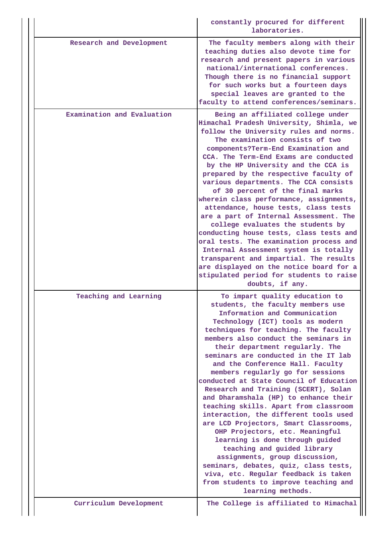|                            | constantly procured for different<br>laboratories.                                                                                                                                                                                                                                                                                                                                                                                                                                                                                                                                                                                                                                                                                                                                                                                                                                                                        |
|----------------------------|---------------------------------------------------------------------------------------------------------------------------------------------------------------------------------------------------------------------------------------------------------------------------------------------------------------------------------------------------------------------------------------------------------------------------------------------------------------------------------------------------------------------------------------------------------------------------------------------------------------------------------------------------------------------------------------------------------------------------------------------------------------------------------------------------------------------------------------------------------------------------------------------------------------------------|
| Research and Development   | The faculty members along with their<br>teaching duties also devote time for<br>research and present papers in various<br>national/international conferences.<br>Though there is no financial support<br>for such works but a fourteen days<br>special leaves are granted to the<br>faculty to attend conferences/seminars.                                                                                                                                                                                                                                                                                                                                                                                                                                                                                                                                                                                               |
| Examination and Evaluation | Being an affiliated college under<br>Himachal Pradesh University, Shimla, we<br>follow the University rules and norms.<br>The examination consists of two<br>components?Term-End Examination and<br>CCA. The Term-End Exams are conducted<br>by the HP University and the CCA is<br>prepared by the respective faculty of<br>various departments. The CCA consists<br>of 30 percent of the final marks<br>wherein class performance, assignments,<br>attendance, house tests, class tests<br>are a part of Internal Assessment. The<br>college evaluates the students by<br>conducting house tests, class tests and<br>oral tests. The examination process and<br>Internal Assessment system is totally<br>transparent and impartial. The results<br>are displayed on the notice board for a<br>stipulated period for students to raise                                                                                   |
|                            | doubts, if any.                                                                                                                                                                                                                                                                                                                                                                                                                                                                                                                                                                                                                                                                                                                                                                                                                                                                                                           |
| Teaching and Learning      | To impart quality education to<br>students, the faculty members use<br>Information and Communication<br>Technology (ICT) tools as modern<br>techniques for teaching. The faculty<br>members also conduct the seminars in<br>their department regularly. The<br>seminars are conducted in the IT lab<br>and the Conference Hall. Faculty<br>members regularly go for sessions<br>conducted at State Council of Education<br>Research and Training (SCERT), Solan<br>and Dharamshala (HP) to enhance their<br>teaching skills. Apart from classroom<br>interaction, the different tools used<br>are LCD Projectors, Smart Classrooms,<br>OHP Projectors, etc. Meaningful<br>learning is done through guided<br>teaching and guided library<br>assignments, group discussion,<br>seminars, debates, quiz, class tests,<br>viva, etc. Regular feedback is taken<br>from students to improve teaching and<br>learning methods. |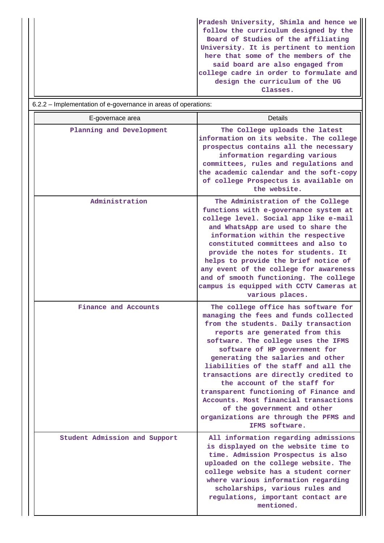**Pradesh University, Shimla and hence we follow the curriculum designed by the Board of Studies of the affiliating University. It is pertinent to mention here that some of the members of the said board are also engaged from college cadre in order to formulate and design the curriculum of the UG Classes.**

| 6.2.2 – Implementation of e-governance in areas of operations: |                                                                                                                                                                                                                                                                                                                                                                                                                                                                                                                                                                     |  |  |  |
|----------------------------------------------------------------|---------------------------------------------------------------------------------------------------------------------------------------------------------------------------------------------------------------------------------------------------------------------------------------------------------------------------------------------------------------------------------------------------------------------------------------------------------------------------------------------------------------------------------------------------------------------|--|--|--|
| E-governace area                                               | Details                                                                                                                                                                                                                                                                                                                                                                                                                                                                                                                                                             |  |  |  |
| Planning and Development                                       | The College uploads the latest<br>information on its website. The college<br>prospectus contains all the necessary<br>information regarding various<br>committees, rules and regulations and<br>the academic calendar and the soft-copy<br>of college Prospectus is available on<br>the website.                                                                                                                                                                                                                                                                    |  |  |  |
| Administration                                                 | The Administration of the College<br>functions with e-governance system at<br>college level. Social app like e-mail<br>and WhatsApp are used to share the<br>information within the respective<br>constituted committees and also to<br>provide the notes for students. It<br>helps to provide the brief notice of<br>any event of the college for awareness<br>and of smooth functioning. The college<br>campus is equipped with CCTV Cameras at<br>various places.                                                                                                |  |  |  |
| Finance and Accounts                                           | The college office has software for<br>managing the fees and funds collected<br>from the students. Daily transaction<br>reports are generated from this<br>software. The college uses the IFMS<br>software of HP government for<br>generating the salaries and other<br>liabilities of the staff and all the<br>transactions are directly credited to<br>the account of the staff for<br>transparent functioning of Finance and<br>Accounts. Most financial transactions<br>of the government and other<br>organizations are through the PFMS and<br>IFMS software. |  |  |  |
| Student Admission and Support                                  | All information regarding admissions<br>is displayed on the website time to<br>time. Admission Prospectus is also<br>uploaded on the college website. The<br>college website has a student corner<br>where various information regarding<br>scholarships, various rules and<br>regulations, important contact are<br>mentioned.                                                                                                                                                                                                                                     |  |  |  |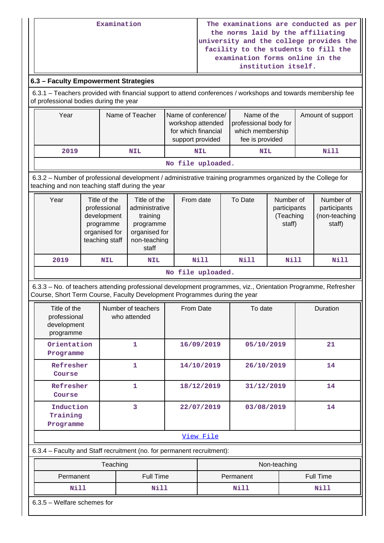**Examination The examinations are conducted as per the norms laid by the affiliating university and the college provides the facility to the students to fill the examination forms online in the institution itself.**

## **6.3 – Faculty Empowerment Strategies**

 6.3.1 – Teachers provided with financial support to attend conferences / workshops and towards membership fee of professional bodies during the year

| Year                | Name of Teacher | Name of conference/<br>workshop attended<br>for which financial<br>support provided | Name of the<br>professional body for<br>which membership<br>fee is provided | Amount of support |  |  |
|---------------------|-----------------|-------------------------------------------------------------------------------------|-----------------------------------------------------------------------------|-------------------|--|--|
| 2019                | <b>NIL</b>      | <b>NIL</b>                                                                          | <b>NIL</b>                                                                  | Nill              |  |  |
| ata 211a ugustaa 14 |                 |                                                                                     |                                                                             |                   |  |  |

**No file uploaded.**

 6.3.2 – Number of professional development / administrative training programmes organized by the College for teaching and non teaching staff during the year

| Year | Title of the<br>professional<br>development<br>programme<br>organised for<br>teaching staff | Title of the<br>administrative<br>training<br>programme<br>organised for<br>non-teaching<br>staff | From date | To Date | Number of<br>participants<br>(Teaching<br>staff) | Number of<br>participants<br>(non-teaching<br>staff) |  |  |
|------|---------------------------------------------------------------------------------------------|---------------------------------------------------------------------------------------------------|-----------|---------|--------------------------------------------------|------------------------------------------------------|--|--|
| 2019 | <b>NIL</b>                                                                                  | <b>NIL</b>                                                                                        | Nill      | Nill    | <b>Nill</b>                                      | Nill                                                 |  |  |
|      | No file uploaded.                                                                           |                                                                                                   |           |         |                                                  |                                                      |  |  |

 6.3.3 – No. of teachers attending professional development programmes, viz., Orientation Programme, Refresher Course, Short Term Course, Faculty Development Programmes during the year

| Title of the<br>professional<br>development<br>programme               | Number of teachers<br>who attended | From Date  | To date    | Duration |  |  |
|------------------------------------------------------------------------|------------------------------------|------------|------------|----------|--|--|
| Orientation<br>Programme                                               | 1                                  | 16/09/2019 | 05/10/2019 | 21       |  |  |
| Refresher<br>Course                                                    | 1                                  | 14/10/2019 | 26/10/2019 | 14       |  |  |
| Refresher<br>Course                                                    | 1                                  | 18/12/2019 | 31/12/2019 | 14       |  |  |
| Induction<br>Training<br>Programme                                     | 3                                  | 22/07/2019 | 03/08/2019 | 14       |  |  |
| View File                                                              |                                    |            |            |          |  |  |
| 6.3.4 – Faculty and Staff recruitment (no. for permanent recruitment): |                                    |            |            |          |  |  |
|                                                                        |                                    |            |            |          |  |  |

| Teaching  |           | Non-teaching |           |  |
|-----------|-----------|--------------|-----------|--|
| Permanent | Full Time | Permanent    | Full Time |  |
| Nill      | Nill      | Nill         | Nill      |  |

6.3.5 – Welfare schemes for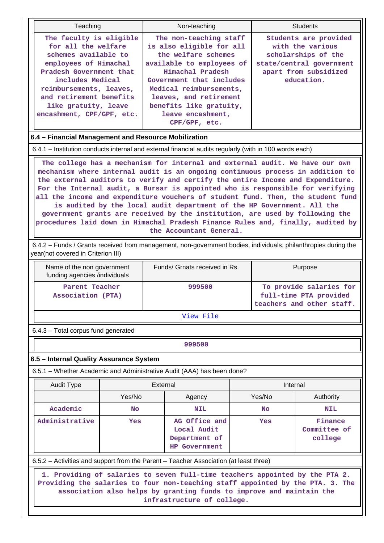| Teaching                                                                                                                                                                                                                                                                                                                                                                                                                                                                                                                                                                                                                                                                                      |           |          | Non-teaching                                                                                                                                                                                                                                                                 |        | <b>Students</b>                                                                |                                                                                                                                     |
|-----------------------------------------------------------------------------------------------------------------------------------------------------------------------------------------------------------------------------------------------------------------------------------------------------------------------------------------------------------------------------------------------------------------------------------------------------------------------------------------------------------------------------------------------------------------------------------------------------------------------------------------------------------------------------------------------|-----------|----------|------------------------------------------------------------------------------------------------------------------------------------------------------------------------------------------------------------------------------------------------------------------------------|--------|--------------------------------------------------------------------------------|-------------------------------------------------------------------------------------------------------------------------------------|
| The faculty is eligible<br>for all the welfare<br>schemes available to<br>employees of Himachal<br>Pradesh Government that<br>includes Medical<br>reimbursements, leaves,<br>and retirement benefits<br>like gratuity, leave<br>encashment, CPF/GPF, etc.                                                                                                                                                                                                                                                                                                                                                                                                                                     |           |          | The non-teaching staff<br>is also eligible for all<br>the welfare schemes<br>available to employees of<br>Himachal Pradesh<br>Government that includes<br>Medical reimbursements,<br>leaves, and retirement<br>benefits like gratuity,<br>leave encashment,<br>CPF/GPF, etc. |        |                                                                                | Students are provided<br>with the various<br>scholarships of the<br>state/central government<br>apart from subsidized<br>education. |
| 6.4 - Financial Management and Resource Mobilization                                                                                                                                                                                                                                                                                                                                                                                                                                                                                                                                                                                                                                          |           |          |                                                                                                                                                                                                                                                                              |        |                                                                                |                                                                                                                                     |
|                                                                                                                                                                                                                                                                                                                                                                                                                                                                                                                                                                                                                                                                                               |           |          | 6.4.1 – Institution conducts internal and external financial audits regularly (with in 100 words each)                                                                                                                                                                       |        |                                                                                |                                                                                                                                     |
| The college has a mechanism for internal and external audit. We have our own<br>mechanism where internal audit is an ongoing continuous process in addition to<br>the external auditors to verify and certify the entire Income and Expenditure.<br>For the Internal audit, a Bursar is appointed who is responsible for verifying<br>all the income and expenditure vouchers of student fund. Then, the student fund<br>is audited by the local audit department of the HP Government. All the<br>government grants are received by the institution, are used by following the<br>procedures laid down in Himachal Pradesh Finance Rules and, finally, audited by<br>the Accountant General. |           |          |                                                                                                                                                                                                                                                                              |        |                                                                                |                                                                                                                                     |
| year(not covered in Criterion III)                                                                                                                                                                                                                                                                                                                                                                                                                                                                                                                                                                                                                                                            |           |          | 6.4.2 – Funds / Grants received from management, non-government bodies, individuals, philanthropies during the                                                                                                                                                               |        |                                                                                |                                                                                                                                     |
| Name of the non government<br>funding agencies /individuals                                                                                                                                                                                                                                                                                                                                                                                                                                                                                                                                                                                                                                   |           |          | Funds/ Grnats received in Rs.                                                                                                                                                                                                                                                |        |                                                                                | Purpose                                                                                                                             |
| Parent Teacher<br>Association (PTA)                                                                                                                                                                                                                                                                                                                                                                                                                                                                                                                                                                                                                                                           |           |          | 999500                                                                                                                                                                                                                                                                       |        | To provide salaries for<br>full-time PTA provided<br>teachers and other staff. |                                                                                                                                     |
|                                                                                                                                                                                                                                                                                                                                                                                                                                                                                                                                                                                                                                                                                               |           |          | View File                                                                                                                                                                                                                                                                    |        |                                                                                |                                                                                                                                     |
| 6.4.3 - Total corpus fund generated                                                                                                                                                                                                                                                                                                                                                                                                                                                                                                                                                                                                                                                           |           |          |                                                                                                                                                                                                                                                                              |        |                                                                                |                                                                                                                                     |
|                                                                                                                                                                                                                                                                                                                                                                                                                                                                                                                                                                                                                                                                                               |           |          | 999500                                                                                                                                                                                                                                                                       |        |                                                                                |                                                                                                                                     |
| 6.5 - Internal Quality Assurance System                                                                                                                                                                                                                                                                                                                                                                                                                                                                                                                                                                                                                                                       |           |          |                                                                                                                                                                                                                                                                              |        |                                                                                |                                                                                                                                     |
|                                                                                                                                                                                                                                                                                                                                                                                                                                                                                                                                                                                                                                                                                               |           |          | 6.5.1 – Whether Academic and Administrative Audit (AAA) has been done?                                                                                                                                                                                                       |        |                                                                                |                                                                                                                                     |
| Audit Type                                                                                                                                                                                                                                                                                                                                                                                                                                                                                                                                                                                                                                                                                    |           | External |                                                                                                                                                                                                                                                                              |        | Internal                                                                       |                                                                                                                                     |
| Yes/No                                                                                                                                                                                                                                                                                                                                                                                                                                                                                                                                                                                                                                                                                        |           | Agency   |                                                                                                                                                                                                                                                                              | Yes/No | Authority                                                                      |                                                                                                                                     |
| Academic                                                                                                                                                                                                                                                                                                                                                                                                                                                                                                                                                                                                                                                                                      | <b>No</b> |          | <b>NIL</b>                                                                                                                                                                                                                                                                   |        | No                                                                             | <b>NIL</b>                                                                                                                          |
| Administrative                                                                                                                                                                                                                                                                                                                                                                                                                                                                                                                                                                                                                                                                                | Yes       |          | AG Office and<br>Local Audit<br>Department of<br><b>HP</b> Government                                                                                                                                                                                                        |        | Yes                                                                            | Finance<br>Committee of<br>college                                                                                                  |
|                                                                                                                                                                                                                                                                                                                                                                                                                                                                                                                                                                                                                                                                                               |           |          | 6.5.2 - Activities and support from the Parent - Teacher Association (at least three)                                                                                                                                                                                        |        |                                                                                |                                                                                                                                     |
| 1. Providing of salaries to seven full-time teachers appointed by the PTA 2.<br>Providing the salaries to four non-teaching staff appointed by the PTA. 3. The                                                                                                                                                                                                                                                                                                                                                                                                                                                                                                                                |           |          |                                                                                                                                                                                                                                                                              |        |                                                                                |                                                                                                                                     |

**association also helps by granting funds to improve and maintain the infrastructure of college.**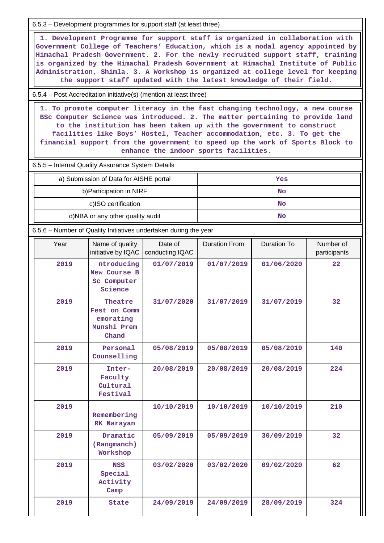6.5.3 – Development programmes for support staff (at least three)

 **1. Development Programme for support staff is organized in collaboration with Government College of Teachers' Education, which is a nodal agency appointed by Himachal Pradesh Government. 2. For the newly recruited support staff, training is organized by the Himachal Pradesh Government at Himachal Institute of Public Administration, Shimla. 3. A Workshop is organized at college level for keeping the support staff updated with the latest knowledge of their field.** 6.5.4 – Post Accreditation initiative(s) (mention at least three) **1. To promote computer literacy in the fast changing technology, a new course BSc Computer Science was introduced. 2. The matter pertaining to provide land to the institution has been taken up with the government to construct facilities like Boys' Hostel, Teacher accommodation, etc. 3. To get the financial support from the government to speed up the work of Sports Block to enhance the indoor sports facilities.** 6.5.5 – Internal Quality Assurance System Details a) Submission of Data for AISHE portal **Yes** b)Participation in NIRF **No** No c)ISO certification **No** d)NBA or any other quality audit **No** 6.5.6 – Number of Quality Initiatives undertaken during the year Year | Name of quality initiative by IQAC Date of conducting IQAC Duration From I Duration To I Number of participants  **2019 ntroducing New Course B Sc Computer Science 01/07/2019 01/07/2019 01/06/2020 22 2019 Theatre Fest on Comm emorating Munshi Prem Chand 31/07/2020 31/07/2019 31/07/2019 32 2019 Personal Counselling 05/08/2019 05/08/2019 05/08/2019 140 2019 Inter-Faculty Cultural Festival 20/08/2019 20/08/2019 20/08/2019 224 2019 Remembering RK Narayan 10/10/2019 10/10/2019 10/10/2019 210 2019 Dramatic (Rangmanch) Workshop 05/09/2019 05/09/2019 30/09/2019 32 2019 NSS Special Activity Camp 03/02/2020 03/02/2020 09/02/2020 62 2019 State 24/09/2019 24/09/2019 28/09/2019 324**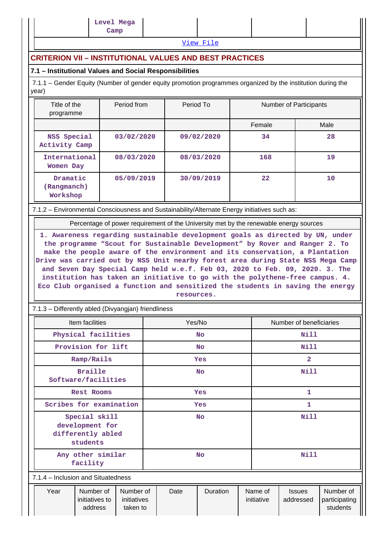[View File](https://assessmentonline.naac.gov.in/public/Postacc/Quality_Initiatives_B/11492_Quality_Initiatives_B_1627012249.xlsx)

## **CRITERION VII – INSTITUTIONAL VALUES AND BEST PRACTICES**

## **7.1 – Institutional Values and Social Responsibilities**

 7.1.1 – Gender Equity (Number of gender equity promotion programmes organized by the institution during the year)

| Title of the<br>programme           | Period from | Period To  | Number of Participants |      |
|-------------------------------------|-------------|------------|------------------------|------|
|                                     |             |            | Female                 | Male |
| NSS Special<br>Activity Camp        | 03/02/2020  | 09/02/2020 | 34                     | 28   |
| International<br>Women Day          | 08/03/2020  | 08/03/2020 | 168                    | 19   |
| Dramatic<br>(Rangmanch)<br>Workshop | 05/09/2019  | 30/09/2019 | 22                     | 10   |

7.1.2 – Environmental Consciousness and Sustainability/Alternate Energy initiatives such as:

Percentage of power requirement of the University met by the renewable energy sources

**1. Awareness regarding sustainable development goals as directed by UN, under the programme "Scout for Sustainable Development" by Rover and Ranger 2. To make the people aware of the environment and its conservation, a Plantation Drive was carried out by NSS Unit nearby forest area during State NSS Mega Camp and Seven Day Special Camp held w.e.f. Feb 03, 2020 to Feb. 09, 2020. 3. The institution has taken an initiative to go with the polythene-free campus. 4. Eco Club organised a function and sensitized the students in saving the energy resources.**

7.1.3 – Differently abled (Divyangjan) friendliness

| Item facilities                                                                                                                                                                                                                                   | Yes/No     | Number of beneficiaries                      |  |  |  |  |
|---------------------------------------------------------------------------------------------------------------------------------------------------------------------------------------------------------------------------------------------------|------------|----------------------------------------------|--|--|--|--|
| Physical facilities                                                                                                                                                                                                                               | <b>No</b>  | Nill                                         |  |  |  |  |
| Provision for lift                                                                                                                                                                                                                                | <b>No</b>  | Nill                                         |  |  |  |  |
| Ramp/Rails                                                                                                                                                                                                                                        | <b>Yes</b> | $\overline{a}$                               |  |  |  |  |
| <b>Braille</b><br>Software/facilities                                                                                                                                                                                                             | No         | Nill                                         |  |  |  |  |
| Rest Rooms                                                                                                                                                                                                                                        | Yes        | 1                                            |  |  |  |  |
| Scribes for examination                                                                                                                                                                                                                           | Yes        | 1                                            |  |  |  |  |
| Special skill<br>development for<br>differently abled<br>students                                                                                                                                                                                 | <b>No</b>  | <b>Nill</b>                                  |  |  |  |  |
| Any other similar<br>facility                                                                                                                                                                                                                     | <b>No</b>  | Nill                                         |  |  |  |  |
| 7.1.4 – Inclusion and Situatedness                                                                                                                                                                                                                |            |                                              |  |  |  |  |
| <u>kan and a basic and a strong the strong strong and a strong strong strong and a strong strong strong strong strong strong strong strong strong strong strong strong strong strong strong strong strong strong strong strong s</u><br>$\lambda$ | - -        | $\sim$ $\sim$ $\sim$ $\sim$<br>$\sim$ $\sim$ |  |  |  |  |

| Year | Number of<br>initiatives to | Number of<br>initiatives | Date | Duration | Name of<br>initiative | <b>Issues</b><br>addressed | Number of<br>participating |
|------|-----------------------------|--------------------------|------|----------|-----------------------|----------------------------|----------------------------|
|      | address                     | taken to                 |      |          |                       |                            | students                   |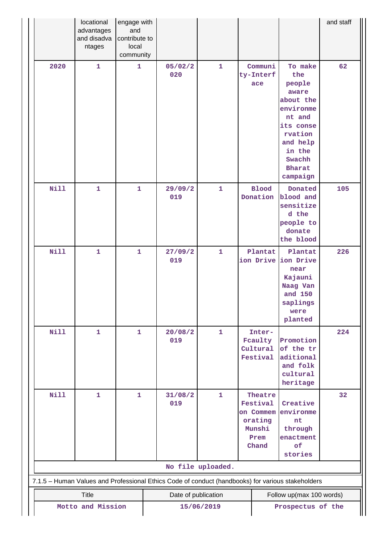|                                                      | locational<br>advantages<br>and disadva<br>ntages | engage with<br>and<br>contribute to<br>local<br>community |                                                                                                   |                   |                                                                                  |                                                                                                                                                            | and staff |
|------------------------------------------------------|---------------------------------------------------|-----------------------------------------------------------|---------------------------------------------------------------------------------------------------|-------------------|----------------------------------------------------------------------------------|------------------------------------------------------------------------------------------------------------------------------------------------------------|-----------|
| 2020                                                 | $\mathbf{1}$                                      | $\mathbf{1}$                                              | 05/02/2<br>020                                                                                    | 1                 | Communi<br>ty-Interf<br>ace                                                      | To make<br>the<br>people<br>aware<br>about the<br>environme<br>nt and<br>its conse<br>rvation<br>and help<br>in the<br>Swachh<br><b>Bharat</b><br>campaign | 62        |
| <b>Nill</b>                                          | $\mathbf{1}$                                      | $\mathbf{1}$                                              | 29/09/2<br>019                                                                                    | $\mathbf{1}$      | <b>Blood</b><br>Donation                                                         | Donated<br>blood and<br>sensitize<br>d the<br>people to<br>donate<br>the blood                                                                             | 105       |
| <b>Nill</b>                                          | 1                                                 | 1                                                         | 27/09/2<br>019                                                                                    | 1                 | Plantat<br>ion Drive ion Drive                                                   | Plantat<br>near<br>Kajauni<br>Naag Van<br>and 150<br>saplings<br>were<br>planted                                                                           | 226       |
| <b>Nill</b>                                          | $\mathbf{1}$                                      | $\mathbf{1}$                                              | 20/08/2<br>019                                                                                    | 1                 | Inter-<br>Fcaulty<br>Cultural<br>Festival                                        | Promotion<br>of the tr<br>aditional<br>and folk<br>cultural<br>heritage                                                                                    | 224       |
| <b>Nill</b>                                          | $\mathbf{1}$                                      | $\mathbf{1}$                                              | 31/08/2<br>019                                                                                    | $\mathbf{1}$      | Theatre<br>Festival<br>on Commem environme<br>orating<br>Munshi<br>Prem<br>Chand | Creative<br>nt<br>through<br>enactment<br>of<br>stories                                                                                                    | 32        |
|                                                      |                                                   |                                                           |                                                                                                   | No file uploaded. |                                                                                  |                                                                                                                                                            |           |
|                                                      |                                                   |                                                           | 7.1.5 - Human Values and Professional Ethics Code of conduct (handbooks) for various stakeholders |                   |                                                                                  |                                                                                                                                                            |           |
|                                                      | <b>Title</b>                                      |                                                           | Date of publication                                                                               |                   |                                                                                  | Follow up(max 100 words)                                                                                                                                   |           |
| Motto and Mission<br>15/06/2019<br>Prospectus of the |                                                   |                                                           |                                                                                                   |                   |                                                                                  |                                                                                                                                                            |           |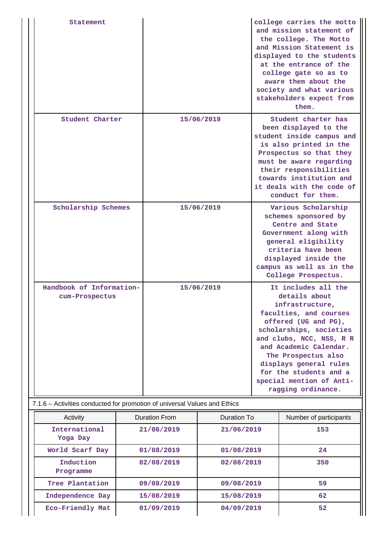| Statement                                                                 |                      |            |             |                                                                                                                                                                                                                                                                                                                         | college carries the motto<br>and mission statement of<br>the college. The Motto<br>and Mission Statement is<br>displayed to the students<br>at the entrance of the<br>college gate so as to<br>aware them about the<br>society and what various<br>stakeholders expect from<br>them. |  |
|---------------------------------------------------------------------------|----------------------|------------|-------------|-------------------------------------------------------------------------------------------------------------------------------------------------------------------------------------------------------------------------------------------------------------------------------------------------------------------------|--------------------------------------------------------------------------------------------------------------------------------------------------------------------------------------------------------------------------------------------------------------------------------------|--|
| Student Charter                                                           |                      | 15/06/2019 |             | Student charter has<br>been displayed to the<br>student inside campus and<br>is also printed in the<br>Prospectus so that they<br>must be aware regarding<br>their responsibilities<br>towards institution and<br>it deals with the code of<br>conduct for them.                                                        |                                                                                                                                                                                                                                                                                      |  |
| Scholarship Schemes                                                       |                      | 15/06/2019 |             | Various Scholarship<br>schemes sponsored by<br>Centre and State<br>Government along with<br>general eligibility<br>criteria have been<br>displayed inside the<br>campus as well as in the<br>College Prospectus.                                                                                                        |                                                                                                                                                                                                                                                                                      |  |
| Handbook of Information-<br>cum-Prospectus                                |                      | 15/06/2019 |             | It includes all the<br>details about<br>infrastructure,<br>faculties, and courses<br>offered (UG and PG),<br>scholarships, societies<br>and clubs, NCC, NSS, R R<br>and Academic Calendar.<br>The Prospectus also<br>displays general rules<br>for the students and a<br>special mention of Anti-<br>ragging ordinance. |                                                                                                                                                                                                                                                                                      |  |
| 7.1.6 - Activities conducted for promotion of universal Values and Ethics |                      |            |             |                                                                                                                                                                                                                                                                                                                         |                                                                                                                                                                                                                                                                                      |  |
| Activity                                                                  | <b>Duration From</b> |            | Duration To |                                                                                                                                                                                                                                                                                                                         | Number of participants                                                                                                                                                                                                                                                               |  |
| International<br>Yoga Day                                                 |                      | 21/06/2019 | 21/06/2019  |                                                                                                                                                                                                                                                                                                                         | 153                                                                                                                                                                                                                                                                                  |  |
| World Scarf Day                                                           |                      | 01/08/2019 | 01/08/2019  |                                                                                                                                                                                                                                                                                                                         | 24                                                                                                                                                                                                                                                                                   |  |
| Induction<br>Programme                                                    |                      | 02/08/2019 | 02/08/2019  |                                                                                                                                                                                                                                                                                                                         | 350                                                                                                                                                                                                                                                                                  |  |
| Tree Plantation                                                           |                      | 09/08/2019 | 09/08/2019  |                                                                                                                                                                                                                                                                                                                         | 59                                                                                                                                                                                                                                                                                   |  |

 **Independence Day 15/08/2019 15/08/2019 62 Eco-Friendly Mat** 01/09/2019 04/09/2019 52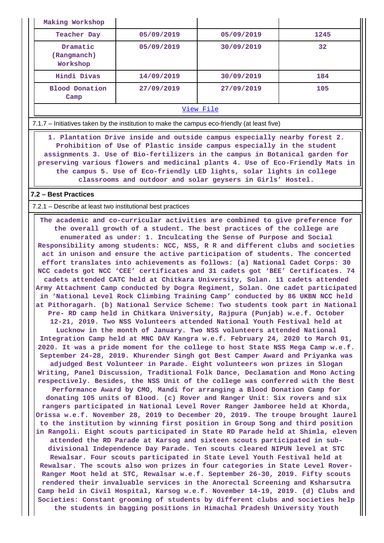| Making Workshop                                                                                                                                                                                                                                                                                                                                                                                                                                                                                                                                                                                                                                                                                                                                                                                                                                                                                                                                                                                                                                                                                                                                                                                                                                                                                                                                                                                                                                                                                                                                                                                                                                                                                                                                                                                                                                                                                                                                                                                                                                                                                                                                                                                                                                                                                                                                                                                                                                                                                                                                                                                                                                                                                    |            |            |      |  |  |  |  |
|----------------------------------------------------------------------------------------------------------------------------------------------------------------------------------------------------------------------------------------------------------------------------------------------------------------------------------------------------------------------------------------------------------------------------------------------------------------------------------------------------------------------------------------------------------------------------------------------------------------------------------------------------------------------------------------------------------------------------------------------------------------------------------------------------------------------------------------------------------------------------------------------------------------------------------------------------------------------------------------------------------------------------------------------------------------------------------------------------------------------------------------------------------------------------------------------------------------------------------------------------------------------------------------------------------------------------------------------------------------------------------------------------------------------------------------------------------------------------------------------------------------------------------------------------------------------------------------------------------------------------------------------------------------------------------------------------------------------------------------------------------------------------------------------------------------------------------------------------------------------------------------------------------------------------------------------------------------------------------------------------------------------------------------------------------------------------------------------------------------------------------------------------------------------------------------------------------------------------------------------------------------------------------------------------------------------------------------------------------------------------------------------------------------------------------------------------------------------------------------------------------------------------------------------------------------------------------------------------------------------------------------------------------------------------------------------------|------------|------------|------|--|--|--|--|
| Teacher Day                                                                                                                                                                                                                                                                                                                                                                                                                                                                                                                                                                                                                                                                                                                                                                                                                                                                                                                                                                                                                                                                                                                                                                                                                                                                                                                                                                                                                                                                                                                                                                                                                                                                                                                                                                                                                                                                                                                                                                                                                                                                                                                                                                                                                                                                                                                                                                                                                                                                                                                                                                                                                                                                                        | 05/09/2019 | 05/09/2019 | 1245 |  |  |  |  |
| Dramatic<br>(Rangmanch)<br>Workshop                                                                                                                                                                                                                                                                                                                                                                                                                                                                                                                                                                                                                                                                                                                                                                                                                                                                                                                                                                                                                                                                                                                                                                                                                                                                                                                                                                                                                                                                                                                                                                                                                                                                                                                                                                                                                                                                                                                                                                                                                                                                                                                                                                                                                                                                                                                                                                                                                                                                                                                                                                                                                                                                | 05/09/2019 | 30/09/2019 | 32   |  |  |  |  |
| Hindi Divas                                                                                                                                                                                                                                                                                                                                                                                                                                                                                                                                                                                                                                                                                                                                                                                                                                                                                                                                                                                                                                                                                                                                                                                                                                                                                                                                                                                                                                                                                                                                                                                                                                                                                                                                                                                                                                                                                                                                                                                                                                                                                                                                                                                                                                                                                                                                                                                                                                                                                                                                                                                                                                                                                        | 14/09/2019 | 30/09/2019 | 184  |  |  |  |  |
| <b>Blood Donation</b><br>Camp                                                                                                                                                                                                                                                                                                                                                                                                                                                                                                                                                                                                                                                                                                                                                                                                                                                                                                                                                                                                                                                                                                                                                                                                                                                                                                                                                                                                                                                                                                                                                                                                                                                                                                                                                                                                                                                                                                                                                                                                                                                                                                                                                                                                                                                                                                                                                                                                                                                                                                                                                                                                                                                                      | 27/09/2019 | 27/09/2019 | 105  |  |  |  |  |
|                                                                                                                                                                                                                                                                                                                                                                                                                                                                                                                                                                                                                                                                                                                                                                                                                                                                                                                                                                                                                                                                                                                                                                                                                                                                                                                                                                                                                                                                                                                                                                                                                                                                                                                                                                                                                                                                                                                                                                                                                                                                                                                                                                                                                                                                                                                                                                                                                                                                                                                                                                                                                                                                                                    |            | View File  |      |  |  |  |  |
| 7.1.7 – Initiatives taken by the institution to make the campus eco-friendly (at least five)                                                                                                                                                                                                                                                                                                                                                                                                                                                                                                                                                                                                                                                                                                                                                                                                                                                                                                                                                                                                                                                                                                                                                                                                                                                                                                                                                                                                                                                                                                                                                                                                                                                                                                                                                                                                                                                                                                                                                                                                                                                                                                                                                                                                                                                                                                                                                                                                                                                                                                                                                                                                       |            |            |      |  |  |  |  |
| 1. Plantation Drive inside and outside campus especially nearby forest 2.<br>Prohibition of Use of Plastic inside campus especially in the student<br>assignments 3. Use of Bio-fertilizers in the campus in Botanical garden for<br>preserving various flowers and medicinal plants 4. Use of Eco-Friendly Mats in<br>the campus 5. Use of Eco-friendly LED lights, solar lights in college<br>classrooms and outdoor and solar geysers in Girls' Hostel.                                                                                                                                                                                                                                                                                                                                                                                                                                                                                                                                                                                                                                                                                                                                                                                                                                                                                                                                                                                                                                                                                                                                                                                                                                                                                                                                                                                                                                                                                                                                                                                                                                                                                                                                                                                                                                                                                                                                                                                                                                                                                                                                                                                                                                         |            |            |      |  |  |  |  |
| 7.2 - Best Practices                                                                                                                                                                                                                                                                                                                                                                                                                                                                                                                                                                                                                                                                                                                                                                                                                                                                                                                                                                                                                                                                                                                                                                                                                                                                                                                                                                                                                                                                                                                                                                                                                                                                                                                                                                                                                                                                                                                                                                                                                                                                                                                                                                                                                                                                                                                                                                                                                                                                                                                                                                                                                                                                               |            |            |      |  |  |  |  |
|                                                                                                                                                                                                                                                                                                                                                                                                                                                                                                                                                                                                                                                                                                                                                                                                                                                                                                                                                                                                                                                                                                                                                                                                                                                                                                                                                                                                                                                                                                                                                                                                                                                                                                                                                                                                                                                                                                                                                                                                                                                                                                                                                                                                                                                                                                                                                                                                                                                                                                                                                                                                                                                                                                    |            |            |      |  |  |  |  |
| 7.2.1 – Describe at least two institutional best practices<br>The academic and co-curricular activities are combined to give preference for<br>the overall growth of a student. The best practices of the college are<br>enumerated as under: 1. Inculcating the Sense of Purpose and Social<br>Responsibility among students: NCC, NSS, R R and different clubs and societies<br>act in unison and ensure the active participation of students. The concerted<br>effort translates into achievements as follows: (a) National Cadet Corps: 30<br>NCC cadets got NCC 'CEE' certificates and 31 cadets got 'BEE' Certificates. 74<br>cadets attended CATC held at Chitkara University, Solan. 11 cadets attended<br>Army Attachment Camp conducted by Dogra Regiment, Solan. One cadet participated<br>in 'National Level Rock Climbing Training Camp' conducted by 86 UKBN NCC held<br>at Pithoragarh. (b) National Service Scheme: Two students took part in National<br>Pre- RD camp held in Chitkara University, Rajpura (Punjab) w.e.f. October<br>12-21, 2019. Two NSS Volunteers attended National Youth Festival held at<br>Lucknow in the month of January. Two NSS volunteers attended National<br>Integration Camp held at MNC DAV Kangra w.e.f. February 24, 2020 to March 01,<br>2020. It was a pride moment for the college to host State NSS Mega Camp w.e.f.<br>September 24-28, 2019. Khurender Singh got Best Camper Award and Priyanka was<br>adjudged Best Volunteer in Parade. Eight volunteers won prizes in Slogan<br>Writing, Panel Discussion, Traditional Folk Dance, Declamation and Mono Acting<br>respectively. Besides, the NSS Unit of the college was conferred with the Best<br>Performance Award by CMO, Mandi for arranging a Blood Donation Camp for<br>donating 105 units of Blood. (c) Rover and Ranger Unit: Six rovers and six<br>rangers participated in National Level Rover Ranger Jamboree held at Khorda,<br>Orissa w.e.f. November 28, 2019 to December 20, 2019. The troupe brought laurel<br>to the institution by winning first position in Group Song and third position<br>in Rangoli. Eight scouts participated in State RD Parade held at Shimla, eleven<br>attended the RD Parade at Karsog and sixteen scouts participated in sub-<br>divisional Independence Day Parade. Ten scouts cleared NIPUN level at STC<br>Rewalsar. Four scouts participated in State Level Youth Festival held at<br>Rewalsar. The scouts also won prizes in four categories in State Level Rover-<br>Ranger Moot held at STC, Rewalsar w.e.f. September 26-30, 2019. Fifty scouts<br>rendered their invaluable services in the Anorectal Screening and Ksharsutra |            |            |      |  |  |  |  |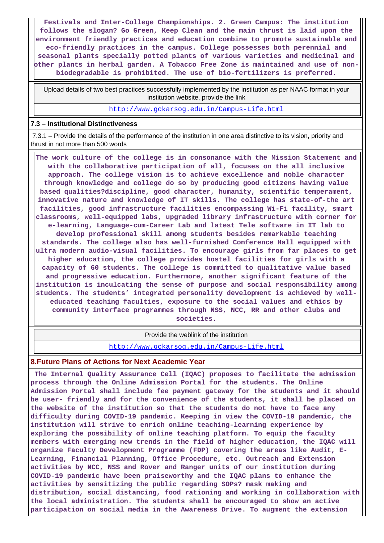**Festivals and Inter-College Championships. 2. Green Campus: The institution follows the slogan? Go Green, Keep Clean and the main thrust is laid upon the environment friendly practices and education combine to promote sustainable and eco-friendly practices in the campus. College possesses both perennial and seasonal plants specially potted plants of various varieties and medicinal and other plants in herbal garden. A Tobacco Free Zone is maintained and use of nonbiodegradable is prohibited. The use of bio-fertilizers is preferred.**

 Upload details of two best practices successfully implemented by the institution as per NAAC format in your institution website, provide the link

<http://www.gckarsog.edu.in/Campus-Life.html>

#### **7.3 – Institutional Distinctiveness**

 7.3.1 – Provide the details of the performance of the institution in one area distinctive to its vision, priority and thrust in not more than 500 words

 **The work culture of the college is in consonance with the Mission Statement and with the collaborative participation of all, focuses on the all inclusive approach. The college vision is to achieve excellence and noble character through knowledge and college do so by producing good citizens having value based qualities?discipline, good character, humanity, scientific temperament, innovative nature and knowledge of IT skills. The college has state-of-the art facilities, good infrastructure facilities encompassing Wi-Fi facility, smart classrooms, well-equipped labs, upgraded library infrastructure with corner for e-learning, Language-cum-Career Lab and latest Tele software in IT lab to develop professional skill among students besides remarkable teaching standards. The college also has well-furnished Conference Hall equipped with ultra modern audio-visual facilities. To encourage girls from far places to get higher education, the college provides hostel facilities for girls with a capacity of 60 students. The college is committed to qualitative value based and progressive education. Furthermore, another significant feature of the institution is inculcating the sense of purpose and social responsibility among students. The students' integrated personality development is achieved by welleducated teaching faculties, exposure to the social values and ethics by community interface programmes through NSS, NCC, RR and other clubs and societies.**

Provide the weblink of the institution

<http://www.gckarsog.edu.in/Campus-Life.html>

#### **8.Future Plans of Actions for Next Academic Year**

 **The Internal Quality Assurance Cell (IQAC) proposes to facilitate the admission process through the Online Admission Portal for the students. The Online Admission Portal shall include fee payment gateway for the students and it should be user- friendly and for the convenience of the students, it shall be placed on the website of the institution so that the students do not have to face any difficulty during COVID-19 pandemic. Keeping in view the COVID-19 pandemic, the institution will strive to enrich online teaching-learning experience by exploring the possibility of online teaching platform. To equip the faculty members with emerging new trends in the field of higher education, the IQAC will organize Faculty Development Programme (FDP) covering the areas like Audit, E-Learning, Financial Planning, Office Procedure, etc. Outreach and Extension activities by NCC, NSS and Rover and Ranger units of our institution during COVID-19 pandemic have been praiseworthy and the IQAC plans to enhance the activities by sensitizing the public regarding SOPs? mask making and distribution, social distancing, food rationing and working in collaboration with the local administration. The students shall be encouraged to show an active participation on social media in the Awareness Drive. To augment the extension**